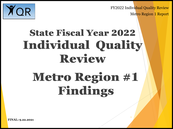FY2022 Individual Quality Review





# State Fiscal Year 2022 Individual Quality Review Metro Region #1 Findings

**FINAL: 9.22.2021** 

1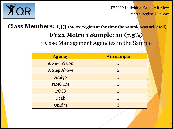

FY2022 Individual Quality Review Metro Region 1 Report

**Class Members: 133 (Metro region at the time the sample was selected)**

## **FY22 Metro 1 Sample: 10 (7.5%)**

7 Case Management Agencies in the Sample

| <b>Agency</b>       | # in sample    |
|---------------------|----------------|
| <b>A New Vision</b> |                |
| A Step Above        | $\overline{2}$ |
| Amigo               |                |
| <b>NMQCM</b>        |                |
| <b>PCCS</b>         |                |
| Peak                |                |
| Unidas              |                |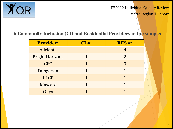

FY2022 Individual Quality Review Metro Region 1 Report

## **6 Community Inclusion (CI) and Residential Providers in the sample:**

| <b>Provider:</b>       | $CI#$ : | <b>RES#:</b>   |
|------------------------|---------|----------------|
| Adelante               |         |                |
| <b>Bright Horizons</b> |         | $\overline{2}$ |
| <b>CFC</b>             |         |                |
| Dungarvin              |         |                |
| <b>LLCP</b>            |         |                |
| Maxcare                |         |                |
| Onyx                   |         |                |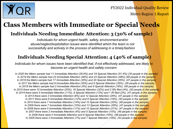

FY2022 Individual Quality Review

Metro Region 1 Report

## **Class Members with Immediate or Special Needs**

## **Individuals Needing Immediate Attention: 3 (30% of sample)**

*Individuals for whom urgent health, safety, environmentand/or abuse/neglect/exploitation issues were identified which the team is not successfully and actively in the process of addressing in a timelyfashion*

## **Individuals Needing Special Attention: 4 (40% of sample)**

*Individuals for whom issues have been identified that, if not effectively addressed, are likely to become an urgent health and safety concern*

*In 2020 the Metro sample had 11 Immediate Attention (28.6%) and 18 Special Attention (51.4%) (35 people in the sample) In 2019 the Metro sample had 22 Immediate Attention (46%) and 23 Special Attention (48%) (48 people in the sample) In 2018 the Metro sample had 17 Immediate Attention (35%) and 20 Special Attention (35%). (47 people in the sample) In 2017 the Metro sample had 9 Immediate Attention (35%) and 9 Special Attention (35%). (26 people in the sample) In 2016 the Metro sample had 2 Immediate Attention (4%) and 9 Special Attention (18%). (49 people in the sample) In 2015 there were 10 Immediate Attention (20%); 16 Special Attention (32%) and 2 IRs filed (4%). (50 people in the sample) In 2014 there were 5 Immediate Attention (11%), 6 Special Attention (13%) and 1 IR filed (2%). (47 people in the sample) In 2013 there were 3 Immediate Attention (6%) and 12 Special Attention (26%). (47 people in the sample) In 2011 there were 6 Immediate Attention (12%) and 9 Special Attention (18%). (50 people in the sample) In 2010 there were 7 Immediate Attention (14%) and 10 Special Attention (20%). (49 people in the sample) In 2009 there were 7 Immediate Attention (15%) and 13 Special Attention (28%). (47 people in the sample) In 2008 there were 5 Immediate Attention (11%) and 10 Special Attention (21%). (47 people in the sample) In 2007 there were 2 Immediate Attention (4%) and 5 Special Attention (10%). (49 people in the sample) In 2006 there were 0 Immediate Attention and 8 Special Attention (16%). (49 people in the sample) In 2005 there were 3 Immediate Attention (7%) and 7 Special Attention (16%). (43 people in the sample)*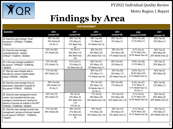FY2022 Individual Quality Review



Metro Region 1 Report

# **Findings by Area**

| <b>CASE MANAGEMENT</b>                                                                                                                                                                               |                                               |                                                                   |                                                                 |                                                       |                                                                             |                                                   |  |
|------------------------------------------------------------------------------------------------------------------------------------------------------------------------------------------------------|-----------------------------------------------|-------------------------------------------------------------------|-----------------------------------------------------------------|-------------------------------------------------------|-----------------------------------------------------------------------------|---------------------------------------------------|--|
| Question                                                                                                                                                                                             | 2016<br>(sample=49)                           | 2017<br>(sample=26)                                               | 2018<br>(sample=47)                                             | 2019<br>(sample=48)                                   | 2020<br>(sample=33 DDW)                                                     | 2021<br>(sample=10)                               |  |
| 24. Does the case manager "know"<br>the person? CPRQ26; '17IQR#8c,<br>'18IQR24                                                                                                                       | 82% Yes (40)<br>16% Partial (8)<br>2% No (1)  | 69% Yes (18)<br>15% Many (4)<br>15% Need Impv<br>(4)              | 85% Yes (40)<br>11% Many (5)<br>4% Needs Impv (2)               | 85% Yes (41)<br>15% Many (7)                          | 78.8% Yes (26)<br>21.2% Many (7)                                            | 90% Yes (9)<br>10% Many (1)                       |  |
| 25. Does the case manager<br>understandhis/her role/job?<br>CPRQ27 '17IQR#16, '18IQR25                                                                                                               | 53% Yes (26)<br>47% Partial (23)              | 4% Yes (1)<br>58% Many (15)<br>38% Need Impv<br>(10)              | 26% Yes (12)<br>49% Many (23)<br>26% Needs Impv (12)            | $29%$ Yes (14)<br>54% Many (26)<br>17% Needs Impv (8) | 9.1% Yes (3)<br>72.7% Many (24)<br>18.2% Needs Impv (6)                     | 20% Yes (2)<br>60% Many (6)<br>20% Needs Impv (2) |  |
| 26. Is the case manager available to<br>the person? CPRQ29; '17IQR#16a,<br>'18IQR27                                                                                                                  | 73% Yes (36)<br>27% Partial (13)              | 81% Yes (21)<br>12% Many (3)<br>8% Need Impv (2)                  | 66% Yes (31)<br>32% Many (15)<br>2% Needs Impv (1)              | 90% Yes (43)<br>10% Many (5)                          | 78.8% Yes (26)<br>21.2% Many (7)                                            | 70% Yes (7)<br>30% Many (3)                       |  |
| 27. Was the case manager able to<br>describe the person's health related<br>needs? CPRQ30, , '18IQR28                                                                                                | 71% Yes (35)<br>29% Partial (14)              |                                                                   | 66% Yes (31)<br>23% Many (11)<br>11% Needs Impv (5)             | 54% Yes (26)<br>35% Many (17)<br>10% Needs Impv (5)   | 33.3% Yes (11)<br>60.6% Many (20)<br>6.1% Needs Impv (2)                    | 40% Yes (4)<br>60% Many (6)                       |  |
| 28. Does the case manager have an<br>appropriate expectation of growth for<br>this person? CPRQ31, '18IQR29                                                                                          | 69% Yes (34)<br>29% Partial (14)<br>2% No (1) |                                                                   | 70% Yes (33)<br>26% Many (12)<br>2% Needs Impv (1)<br>2% No (1) | 83% Yes (40)<br>17% Many (8)                          | 81.8% Yes (27)<br>$9.1\%$ Many $(3)$<br>6.1% Needs Impv (2)<br>$3\%$ No (1) | 90% Yes (9)<br>10% Many (1)                       |  |
| 29. Does the case management record<br>contain documentation that the case<br>manager is monitoring and tracking the<br>delivery of services as outlined in the ISP?<br>CPRQ32; '17IQR#16b, '18IQR30 | 24% Yes (12)<br>76% Partial (37)              | 8% Yes (2)<br>35% Many (9)<br>46% Need Impv<br>(12)<br>12% No (3) | 11% Yes (5)<br>49% Many (23)<br>40% Needs Impv (19)             | 21% Yes (10)<br>54% Many (26)<br>25% Needs Impv (12)  | 9.1% Yes (3)<br>72.7% Many (24)<br>18.2% Needs Impv (6)                     | 20% Yes (2)<br>60% Many (6)<br>20% Needs Impv (2) |  |
| 30. Does the case manager provide case<br>management services at the level needed<br>by this person? CPRQ33; '17IQR#16c,<br>'18IQR31                                                                 | 41% Yes (20)<br>59% Partial (29)              | 38% Yes (10)<br>31% Many (8)<br>31% Need Impv<br>(8)              | $19%$ Yes (9)<br>51% Many (24)<br>30% Needs Impv (14)           | 29% Yes (14)<br>56% Many (27)<br>15% Needs Impv (7)   | 6.1% Yes (2)<br>75.8% Many (25)<br>18.1% Needs Impv (6)                     | 10% Yes (1)<br>70% Many (7)<br>20% Needs Impv (2) |  |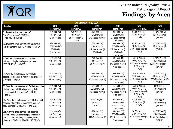

|                                                                                                                                                                                  |                                                                |                                                             | <b>EMPLOYMENT AND DAY</b>                                      |                                                                                   |                                                                                      |                                                                    |
|----------------------------------------------------------------------------------------------------------------------------------------------------------------------------------|----------------------------------------------------------------|-------------------------------------------------------------|----------------------------------------------------------------|-----------------------------------------------------------------------------------|--------------------------------------------------------------------------------------|--------------------------------------------------------------------|
| Question                                                                                                                                                                         | 2016<br>(sample=49)                                            | 2017<br>(sample=26)                                         | 2018<br>(sample=47)                                            | 2019<br>(sample=48)                                                               | 2020<br>(sample=33 DDW)                                                              | 2021<br>(sample=10)                                                |
| 31. Does the direct services staff<br>"know" the person? CPRQ35;<br>'17IQR#8a, '18IQR33                                                                                          | 96% Yes (45)<br>4% Partial (2)<br>(2 not scored)               | 79% Yes (19)<br>13% Many (3)<br>8% Need Impv (2)<br>(2 N/A) | 96% Yes (43)<br>2% Many (1)<br>2% Needs Impv (1)               | 89% Yes (42)<br>9% Many (4)<br>2 Needs Impv (1)<br>(1 not scored)                 | 87.1% Yes (27)<br>12.9% Many (4)<br>(2 N/A)                                          | 87.5% Yes (7)<br>12.5% Many (1)<br>$(2$ CND)                       |
| 32. Does the direct service staff have input<br>into the person's ISP? CPRQ36, '18IQR34                                                                                          | 85% Yes (40)<br>13% Partial (6)<br>2% No (1)<br>(2 not scored) |                                                             | 76% Yes (34)<br>13% Many (6)<br>9% Needs Impv (4)<br>2% No (1) | 60% Yes (28)<br>34% Many (16)<br>2% Needs Impv (1)<br>4% No (2)<br>(1 not scored) | 83.9% Yes (26)<br>12.9% Many (4)<br>3.2% Needs Impv (1)<br>(2 N/A)                   | 87.5% Yes (7)<br>12.5% Many (1)<br>$(2$ CND)                       |
| 33. Did the direct service staff receive<br>training on implementing this person's<br>ISP? CPRQ37, '18IQR35                                                                      | 91% Yes (43)<br>9% Partial (4)<br>(2 not scored)               |                                                             | 78% Yes (35)<br>20% Many (9)<br>2% Needs Imp (1)               | 62% Yes (29)<br>32% Many (15)<br>6% Needs Impv (3)<br>(1 not scored)              | 28.1% Yes (9)<br>59.4% Many (19)<br>9.4% Needs Impv (3)<br>$3.1\%$ No (1)<br>(1 N/A) | 62.5% Yes (5)<br>25% Many (2)<br>12.5% Needs Impv (1)<br>$(2$ CND) |
| 34. Was the direct service staff able to<br>describe this person's health-related needs?<br>CPRQ38, '18IQR36                                                                     | 70% Yes (33)<br>30% Partial (14)<br>(2 not scored)             |                                                             | 58% Yes (26)<br>22% Many (10)<br>20% Needs Impv (9)            | $\sqrt{53\%}$ Yes (25)<br>28% Many (13)<br>19% Needs Impv (9)<br>(1 not scored)   | 15.6% Yes (5)<br>75% Many (24)<br>9.4% Needs Impv (3)<br>(1 N/A)                     | 12.5% Yes (1)<br>62.5% Many (5)<br>25% Needs Impv (2)<br>$(2$ CND) |
| 35. Was the direct service staff able to describe<br>his/her responsibilities in providing daily<br>care/supports to the person? CPRQ39,<br>'18IQR37                             | 91% Yes (43)<br>9% Partial (4)<br>(2 not scored)               |                                                             | 67% Yes (30)<br>29% Many (13)<br>4% Needs Impv (2)             | 66% Yes (31)<br>30% Many (14)<br>4% Needs Impv (2)<br>(1 not scored)              | 28.2% Yes (9)<br>65.6% Many (21)<br>3.1% Needs Impv (1)<br>3.1% No (1)<br>(1 N/A)    | 50% Yes (4)<br>50% Many (4)<br>$(2$ CND)                           |
| 35a. Was the direct service staff able to provide<br>specific information regarding the person's<br>daily activities? CPRQ39a, '18IQR37a                                         | 96% Yes (45)<br>4% Partial (2)<br>(2 not scored)               |                                                             | 93% Yes (42)<br>4% Many (2)<br>2% No (1)                       | $\overline{91\%}$ Yes (43)<br>6% Many (3)<br>2% Needs Impv (1)<br>(1 not scored)  | 83.9% Yes (26)<br>16.1% Many (5)<br>(2 N/A)                                          | 75% Yes (6)<br>25% Many (2)<br>$(2$ CND)                           |
| 135b. Can the direct service staff describe<br>his/her responsibilities in implementing this<br>person's ISP, including outcomes, action<br>plans, and WDSIs? CPRQ39b, '18IQR37b | 91% Yes (43)<br>9% Partial (4)<br>(2 not scored)               |                                                             | 69% Yes (31)<br>20% Many (9)<br>11% Needs Impv (5)             | 68% Yes (32)<br>26% Many (12)<br>6% Needs Impv (3)<br>(1 not scored)              | 38.7% Yes (12)<br>54.8% Many (17)<br>6.5% Needs Impv (2)<br>(2 N/A)                  | 62.5% Yes (5)<br>25% Many (2)<br>12.5% Needs Impv (1)<br>$(2$ CND) |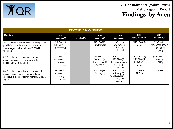

| <b>EMPLOYMENT AND DAY (continued)</b>                                                                                                                           |                                                                    |                     |                                                                |                                                                                       |                                                                |                                                                  |  |  |
|-----------------------------------------------------------------------------------------------------------------------------------------------------------------|--------------------------------------------------------------------|---------------------|----------------------------------------------------------------|---------------------------------------------------------------------------------------|----------------------------------------------------------------|------------------------------------------------------------------|--|--|
| Question                                                                                                                                                        | 2016<br>(sample=49)                                                | 2017<br>(sample=26) | 2018<br>(sample=47)                                            | 2019<br>(sample=48)                                                                   | 2020<br>(sample=33 DDW)                                        | 2021<br>(sample=10)                                              |  |  |
| 36. Did the direct service staff have training on the<br>provider's complaint process and how to report<br>abuse, neglect and exploitation? CPRQ41,<br>'18IQR39 | 70% Yes (33)<br>30% Partial (14)<br>(2 not scored)                 |                     | 82% Yes (37)<br>18% Many (8)                                   | 96% Yes (45)<br>2% Many (1)<br>2% No (1)<br>(1 not scored)                            | 100% Yes (31)<br>(2 N/A)                                       | 75% Yes (6)<br>12.5% Needs Impv (1)<br>12.5% No (1)<br>$(2$ CND) |  |  |
| 37. Does the direct service staff have an<br>appropriate expectation of growth for this<br>person? CPRQ42, '18IQR40                                             | 70% Yes (33)<br>28% Partial (13)<br>2% No (1)<br>(2 not scored)    |                     | 71% Yes (32)<br>20% Many (9)<br>7% Needs Impv (3)<br>2% No (1) | 70% Yes (33)<br>17% Many (8)<br>6% Needs Impv (3)<br>$6\%$ No $(3)$<br>(1 not scored) | 93.6% Yes (29)<br>3.2% Many (1)<br>$3.2\%$ No $(1)$<br>(2 N/A) | 87.5% Yes (7)<br>12.5% Many (1)<br>$(2$ CND)                     |  |  |
| 38. Does the person's day/work environment<br>generally clean, free of safety hazards and<br>conducive to the work/activity intended? CPRQ43,<br>'18IOR41       | 98% Yes (43)<br>$2\%$ Partial $(1)$<br>$(3$ CND)<br>(2 not scored) |                     | 93% Yes (42)<br>7% Many (3)                                    | 82% Yes (32)<br>8% Many (3)<br>10% Needs Impv (4)<br>(8 CND, 1 not<br>scored)         | 100% Yes (6)<br>$(27$ CND)                                     | $(10$ CND)                                                       |  |  |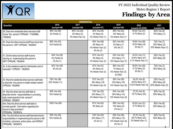

|                                                                                                                                                                                 |                                             | <b>RESIDENTIAL</b>                              |                                                               |                                                                  |                                                          |                                                   |
|---------------------------------------------------------------------------------------------------------------------------------------------------------------------------------|---------------------------------------------|-------------------------------------------------|---------------------------------------------------------------|------------------------------------------------------------------|----------------------------------------------------------|---------------------------------------------------|
| Question                                                                                                                                                                        | 2016<br>(sample=49)                         | 2017<br>(sample=26)                             | 2018<br>(sample=47)                                           | 2019<br>(sample=48)                                              | 2020<br>(sample=33 DDW)                                  | 2021<br>(sample=10)                               |
| 39. Does the residential direct services staff<br>"know" the person? CPRQ44; '17IQR#8b,<br>'18IQR42                                                                             | 98% Yes (48)<br>2% Partial (1)              | 85% Yes (22)<br>8% Many (2)<br>8% Need Impv (2) | 94% Yes (44)<br>4% Many (2)<br>2% Needs Impv (1)              | 88% Yes (42)<br>10% Many (5)<br>2% Needs Impv (1)                | 93.9% Yes (31)<br>6.1% Many (2)                          | 90% Yes (9)<br>10% Many (1)                       |
| 40. Does the direct service staff have input into<br>the person's ISP? CPRQ45, '18IQR43                                                                                         | 88% Yes (43)<br>12% Partial (6)             |                                                 | 83% Yes (39)<br>6% Many (3)<br>4% Needs Impv (2)<br>6% No (3) | $83\%$ Yes (40)<br>2% Many (1)<br>15% No (7)                     | 78.8% Yes (26)<br>18.2% Many (6)<br>3% No (1)            | 70% Yes (7)<br>20% Many (2)<br>10% Needs Impv (1) |
| 41. Did the direct service staff receive<br>training on implementing this person's<br>ISP? CPRQ46, '18IQR44                                                                     | 94% Yes (46)<br>4% Partial (2)<br>2% No (1) |                                                 | 87% Yes (41)<br>9% Many (4)<br>4% Needs Impv (2)              | 63% Yes (30)<br>23% Many (11)<br>15% Needs Impv (7)              | 33.3% Yes (11)<br>63.6% Many (21)<br>3.1% Needs Impv (1) | 50% Yes (5)<br>50% Many (5)                       |
| 42. Is the residence safe for individuals (void of<br>hazards)? CPRQ47, '18IQR45                                                                                                | 92% Yes (45)<br>8% No (4)                   |                                                 | 87% Yes (41)<br>9% Many (4)<br>4% Needs Impv (2)              | 88% Yes (37)<br>7% Many (3)<br>5% Needs Impv (2)<br>$(6$ CND)    | 90.9% Yes (30)<br>6.1% Many (2)<br>3% No (1)             | 70% Yes (7)<br>30% Many (3)                       |
| 43. Was the residential direct service staff able<br>to describe this person's health-related needs?<br>CPRQ48, '18IQR46                                                        | 78% Yes (38)<br>22% Partial (11)            |                                                 | 57% Yes (27)<br>34% Many (16)<br>9% Needs Impv (4)            | 54% Yes (26)<br>33% Many (16)<br>13% Needs Impv (6)              | 24.2% Yes (8)<br>63.6% Many (21)<br>12.2% Needs Impv (4) | 20% Yes (2)<br>60% Many (6)<br>20% Needs Impv (2) |
| 44. Was the direct service staff able to<br>describe his/her responsibilities in providing<br>daily care/supports to the person?<br>CPRQ49, '18IQR47                            | 90% Yes (44)<br>10% Partial (5)             |                                                 | 74% Yes (35)<br>23% Many (11)<br>2% Needs Impv (1)            | 60% Yes (29)<br>29% Many (14)<br>10% Needs Impv (5)              | 27.3% Yes (9)<br>72.7% Many (24)                         | 50% Yes (5)<br>50% Many (5)                       |
| 44a. Was the direct service staff able to<br>provide specific information regarding the<br>person's daily activities?<br>CPRQ49a, '18IQR47a                                     | 100% Yes (49)                               |                                                 | $\sqrt{91\% \text{ Yes}}$ (43)<br>9% Many (4)                 | 88% Yes (42)<br>10% Many (5)<br>2% No (1)                        | 93.9% Yes (31)<br>6.1% Many (2)                          | 80% Yes (8)<br>20% Many (2)                       |
| 44b. Can the direct service staff describe his/her<br>responsibilities in implementing this person's ISP,<br>including outcomes, action plans, and WDSIs?<br>CPRQ49b, '18IQR47b | 90% Yes (44)<br>10% Partial (5)             |                                                 | 74% Yes (35)<br>23% Many (11)<br>2% No (1)                    | 60% Yes (29)<br>25% Many (12)<br>13% Needs Impv (6)<br>2% No (1) | 27.3% Yes (9)<br>69.7% Many (23)<br>3% Needs Impv (1)    | 50% Yes (5)<br>50% Many (5)                       |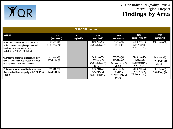

| <b>RESIDENTIAL (continued)</b>                                                                                                                                  |                                  |                     |                                                                |                                                               |                                                                          |                                           |  |
|-----------------------------------------------------------------------------------------------------------------------------------------------------------------|----------------------------------|---------------------|----------------------------------------------------------------|---------------------------------------------------------------|--------------------------------------------------------------------------|-------------------------------------------|--|
| Question                                                                                                                                                        | 2016<br>(sample=49)              | 2017<br>(sample=26) | 2018<br>(sample=47)                                            | 2019<br>(sample=48)                                           | 2020<br>(sample=33 DDW)                                                  | 2021<br>(sample=10)                       |  |
| 45. Did the direct service staff have training<br>on the provider's complaint process and<br>how to report abuse, neglect and<br>exploitation? CPRQ51, '18IQR49 | 73% Yes (36)<br>27% Partial (13) |                     | 98% Yes (46)<br>2% Needs Impv (1)                              | 94% Yes (45)<br>6% No (3)                                     | 90.9% Yes (30)<br>6.1% Many (2)<br>3% Needs Impv (1)                     | 100% Yes (10)                             |  |
| 46. Does the residential direct service staff<br>have an appropriate expectation of growth<br>for this person? CPRQ52, '18IQR50                                 | 82% Yes (40)<br>18% Partial (9)  |                     | 74% Yes (35)<br>17% Many (8)<br>4% Needs Impv (2)<br>4% No (2) | 83% Yes (39)<br>11% Many (5)<br>6% Needs Impv (3)<br>(1 CND)  | 84.8% Yes (28)<br>3% Many (1)<br>6.1% Needs Impv (2)<br>$6.1\%$ No $(2)$ | 80% Yes (8)<br>10% Many (1)<br>10% No (1) |  |
| 47. Does the person's residential environment<br>offer a minimal level of quality of life? CPRQ53,<br>'18IQR51                                                  | 90% Yes (44)<br>10% Partial (5)  |                     | 83% Yes (39)<br>13% Many (6)<br>4% Needs Impv (2)              | 88% Yes (36)<br>5% Many (2)<br>7% Needs Impv (3)<br>$(7$ CND) | 81.8% Yes (27)<br>15.2% Many (5)<br>3% Needs Impv (1)                    | 80% Yes (8)<br>20% Many (2)               |  |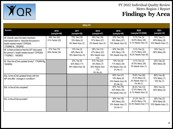

| <b>HEALTH</b>                                                                                                                            |                                  |                                                                    |                                                                     |                                                                  |                                                                    |                                                   |  |
|------------------------------------------------------------------------------------------------------------------------------------------|----------------------------------|--------------------------------------------------------------------|---------------------------------------------------------------------|------------------------------------------------------------------|--------------------------------------------------------------------|---------------------------------------------------|--|
| Question                                                                                                                                 | 2016<br>(sample=49)              | 2017<br>(sample=26)                                                | 2018<br>(sample=47)                                                 | 2019<br>(sample=48)                                              | 2020<br>(sample=33 DDW)                                            | 2021<br>(sample=10)                               |  |
| 48. Overall, were the team members<br>interviewed able to describe the person's<br>health-related needs? CPRQ54;<br>'17IQR#21b, '18IQR52 | 49% Yes (24)<br>51% Partial (25) | 73% Yes (19)<br>19% Many (5)<br>8% Need Impv (2)                   | 34% Yes (16)<br>57% Many (27)<br>9% Needs Impv (4)                  | 33% Yes (16)<br>56% Many (27)<br>10% Needs Impv (5)              | 9.1% Yes (3)<br>84.8% Many (28)<br>6.1% Needs Impv (2)             | 10% Yes (1)<br>80% Many (8)<br>10% Needs Impv (1) |  |
| 49. Is there evidence that the IDT discussed<br>the person's health related issues? CPRQ55;<br>'17IQR#21, '18IQR53                       | 31% Yes (15)<br>69% Partial (34) | $\sqrt{12\% \text{ Yes}}$ (3)<br>69% Many (8)<br>19% Need Impv (5) | 28% Yes (13)<br>47% Many (22)<br>26% Needs Impv<br>(12)             | 42% Yes (20)<br>40% Many (19)<br>19% Needs Impv (9)              | 9.1% Yes (3)<br>72.7% Many (24)<br>18.2% Needs Impv (6)            | 10% Yes (1)<br>90% Many (9)                       |  |
| 50. Was the eChat updated timely? '17IQR#18g,<br>'18IQR54                                                                                |                                  | $23%$ Yes (6)<br>42% Many (11)<br>35% Need Impv (9)                | 51% Yes (24)<br>15% Many (7)<br>26% Needs Impv<br>(12)<br>9% No (4) | 19% Yes (9)<br>71% Many (34)<br>8% Needs Impv (4)<br>2% No (1)   | $9.1\%$ Yes (3)<br>87.9% Many (29)<br>3% Needs Impv (1)            | 20% Yes (2)<br>80% Many (8)                       |  |
| 50a. Is the eChat updated timely with the<br>ISP and after changes in condition?                                                         |                                  |                                                                    |                                                                     | 65% Yes (31)<br>19% Many (9)<br>10% Needs Impv (5)<br>6% No (3)  | 78.8% Yes (26)<br>15.2% Many (5)<br>3% Needs Impv (1)<br>3% No (1) | 80% Yes (8)<br>10% Many (1)<br>10% No (1)         |  |
| 50b. Is the eChat complete?                                                                                                              |                                  |                                                                    |                                                                     | 40% Yes (19)<br>52% Many (25)<br>8% Needs Impv (4)               | 36.4% Yes (12)<br>57.5% Many (19)<br>6.1% Needs Impv (2)           | 50% Yes (5)<br>50% Many (5)                       |  |
| 50c. Is the eChat accurate?                                                                                                              |                                  |                                                                    |                                                                     | 38% Yes (18)<br>46% Many (22)<br>15% Needs Impv (7)<br>2% No (1) | 21.2% Yes (7)<br>45.5% Many (15)<br>33.3% Needs Impv (11)          | 30% Yes (3)<br>60% Many (6)<br>10% Needs Impv (1) |  |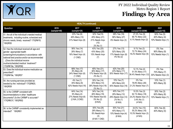

| <b>HEALTH (continued)</b>                                                                                                                                                                                                                                              |                     |                                                                                      |                                                                            |                                                                              |                                                                                         |                                                   |  |  |
|------------------------------------------------------------------------------------------------------------------------------------------------------------------------------------------------------------------------------------------------------------------------|---------------------|--------------------------------------------------------------------------------------|----------------------------------------------------------------------------|------------------------------------------------------------------------------|-----------------------------------------------------------------------------------------|---------------------------------------------------|--|--|
| <b>Question</b>                                                                                                                                                                                                                                                        | 2016<br>(sample=49) | 2017<br>(sample=26)                                                                  | 2018<br>(sample=47)                                                        | 2019<br>(sample=48)                                                          | 2020<br>(sample=33 DDW)                                                                 | 2021<br>(sample=10)                               |  |  |
| 51. Are all of the individual's needed medical<br>treatments, including routine, scheduled and<br>chronic needs, timely received? 17IQR#19,<br>18IQR55                                                                                                                 |                     | 23% Yes (6)<br>46% Many (12)<br>31% Need Impv (8)                                    | 32% Yes(15)<br>45% Many (21)<br>21% Needs Impv<br>(10)<br>2% No (1)        | 38% Yes (18)<br>56% Many (27)<br>6% Needs Impv (3)                           | 27.2% Yes (9)<br>66.7% Many (22)<br>6.1% Needs Impv (2)                                 | 50% Yes (5)<br>40% Many (4)<br>10% Needs Impv (1) |  |  |
| 52. Has the individual received all age and<br>gender appropriate health<br>screening/immunizations in accordance with<br>national best practice and/or as recommended<br>(Does the individual receive<br>routine/scheduled medical treatment?<br>17IQR#19a, '18IQR56) |                     | 56% Yes (14)<br>28% Many (7)<br>16% Need Impv (4)<br>$(1$ CND)                       | 43% Yes (20)<br>43% Many (20)<br>15% Needs Impv<br>(7)                     | 27% Yes (13)<br>52% Many (25)<br>17% Needs Impv (8)<br>4% No (2)             | 9.1% Yes (3)<br>72.7% Many (24)<br>18.2% Needs Impv (6)                                 | 0% Yes<br>90% Many (9)<br>10% Needs Impv (1)      |  |  |
| 53. Does the individual receive medication as<br>prescribed?<br>17IQR#19e, '18IQR57                                                                                                                                                                                    |                     | 68% Yes (17)<br>8% Many (8)<br>24% Need Impv (6)<br>$(1$ CND)                        | 45% Yes (21)<br>36% Many (17)<br>17% Needs Impv (8)<br>2% No (1)           | 42% Yes (20)<br>23% Many (11)<br>35% Needs Impv (17)                         | 12.1% Yes (4)<br>51.5% Many (17)<br>36.4% Needs Impv (12)                               | 0% Yes<br>70% Many (7)<br>30% Needs Impv (3)      |  |  |
| 54. Are nursing services provided as<br>needed by the individual? 17IQR#20,<br>18IQR59                                                                                                                                                                                 |                     | 4% Yes (1)<br>35% Many (9)<br>62% Needs Impv(16)                                     | 30% Yes (14)<br>30% Many (14)<br>38% Needs Impv(18)<br>2% No (1)           | 15% Yes (7)<br>46% Many (22)<br>40% Needs Impv (19)                          | $0\%$ Yes<br>78.8% Many (26)<br>21.2% Needs Impv (7)                                    | 10% Yes (1)<br>90% Many (9)                       |  |  |
| 55. Is the CARMP consistent with<br>recommendations in other healthcare<br>documents? (Is the CARMP is accurate?<br>'17IQR#21f, '18IQR60)                                                                                                                              |                     | $\sqrt{64\% \text{ Yes}}$ (14)<br>9% Many (2)<br>27% Needs Impv(6)<br>(2 N/A, 2 CND) | 34% Yes (14)<br>46% Many (19)<br>15% Needs Impv(6)<br>5% No (2)<br>(6 N/A) | 40% Yes (17)<br>29% Many (12)<br>29% Needs Impv (12)<br>2% No (1)<br>(6 N/A) | 10.3% Yes (3)<br>62.1% Many (18)<br>24.2% Needs Impv (7)<br>$3.4\%$ No $(1)$<br>(4 N/A) | 30% Yes (3)<br>60% Many (6)<br>10% Needs Impv (1) |  |  |
| 56. Is the CARMP consistently implemented as<br>intended? '18IQR61                                                                                                                                                                                                     |                     |                                                                                      | 65% Yes (26)<br>28% Many (11)<br>8% Needs Impv<br>(3)<br>(6 N/A 1 CND)     | 50% Yes (21)<br>40% Many (17)<br>10% Needs Impv (4)<br>(6 N/A)               | 34.5% Yes (10)<br>55.2% Many (16)<br>10.3% Needs Impv (3)<br>(4 N/A)                    | 60% Yes (6)<br>40% Many (4)                       |  |  |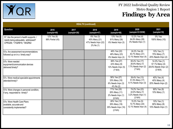

| <b>HEALTH</b> (continued)                                                                                |                                 |                     |                                                                 |                                                                 |                                                                    |                                                                    |  |
|----------------------------------------------------------------------------------------------------------|---------------------------------|---------------------|-----------------------------------------------------------------|-----------------------------------------------------------------|--------------------------------------------------------------------|--------------------------------------------------------------------|--|
| Question                                                                                                 | 2016<br>(sample=49)             | 2017<br>(sample=26) | 2018<br>(sample=47)                                             | 2019<br>(sample=48)                                             | 2020<br>(sample=33 DDW)                                            | 2021<br>(sample=10)                                                |  |
| 57. Are the person's health supports<br>needs being adequately addressed?<br>CPRQ56; '17IQR#19, '18IQR62 | 12% Yes (6)<br>88% Partial (43) |                     | 6% Yes (3)<br>45% Many (21)<br>47% Needs Impv (22)<br>2% No (1) | 13% Yes (6)<br>81% Many (39)<br>6% Needs Impv (3)               | 12.2% Yes (4)<br>84.8% Many (28)<br>3% Needs Impv (1)              | 0% Yes<br>100% Many (10)                                           |  |
| 57a. Are assessment recommendations<br>followed up on in a timely way?                                   |                                 |                     |                                                                 | 46% Yes (22)<br>48% Many (23)<br>6% Needs Impv (3)              | 24.2% Yes (8)<br>63.7% Many (21)<br>12.1% Needs Impv (4)           | 10% Yes (1)<br>70% Many (7)<br>20% Needs Impv (2)                  |  |
| 57b. Were needed<br>equipment/communication devices<br>delivered timely?                                 |                                 |                     |                                                                 | 66% Yes (27)<br>22% Many (9)<br>12% Needs Impv (5)<br>(7 N/A)   | 65.4% Yes (17)<br>26.9% Many (7)<br>7.7% Needs Impv (2)<br>(7 N/A) | 14.3% Yes (1)<br>57.1% Many (4)<br>28.6% Needs Impv (2)<br>(3 N/A) |  |
| 57c. Were medical specialist appointments<br>attended timely?                                            |                                 |                     |                                                                 | 56% Yes (27)<br>33% Many (16)<br>6% Needs Impv (3)<br>4% No (2) | 39.4% Yes (13)<br>51.5% Many (17)<br>9.1% Needs Impv (3)           | $40\%$ Yes (4)<br>40% Many (4)<br>20% Needs Impv (2)               |  |
| 57d. Were changes in personal condition,<br>if any, responded to timely?                                 |                                 |                     |                                                                 | 71% Yes (30)<br>26% Many (11)<br>2% Needs Impv (1)<br>(6 N/A)   | 74.2% Yes (23)<br>22.6% Many (7)<br>3.2% Needs Impv (1)<br>(2 N/A) | 90% Yes (9)<br>10% Many (1)                                        |  |
| 57e. Were Health Care Plans<br>available, accurate and<br>consistently implemented?                      |                                 |                     |                                                                 | 26% Yes (12)<br>39% Many (18)<br>35% Needs Impv (16)<br>(2 N/A) | 15.2% Yes (5)<br>72.7% Many (24)<br>12.1% Needs Impv (4)           | 10% Yes (1)<br>80% Many (8)<br>10% Needs Impv (1)                  |  |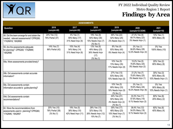

| <b>ASSESSMENTS</b>                                                                                          |                                               |                                                      |                                                                      |                                                                      |                                                          |                                                   |  |  |
|-------------------------------------------------------------------------------------------------------------|-----------------------------------------------|------------------------------------------------------|----------------------------------------------------------------------|----------------------------------------------------------------------|----------------------------------------------------------|---------------------------------------------------|--|--|
| Question                                                                                                    | 2016<br>(sample=49)                           | 2017<br>(sample=26)                                  | 2018<br>(sample=47)                                                  | 2019<br>(sample=48)                                                  | 2020<br>(sample=33 DDW)                                  | 2021<br>(sample=10)                               |  |  |
| 58. Did the team arrange for and obtain the<br>needed, relevant assessments? CPRQ58;<br>'17IQR#18, '18IQR65 | 24% Yes (12)<br>76% Partial (37)              | 4% Yes (1)<br>65% Many (17)<br>31% Need Impv (8)     | 19% Yes (9)<br>64% Many (30)<br>15% Needs Impv (7)<br>2% No (1)      | 46% Yes (22)<br>52% Many (25)<br>2% Needs Impv (1)                   | 27.3% Yes (9)<br>69.7% Many (23)<br>3% Needs Impv (1)    | 10% Yes (1)<br>90% Many (9)                       |  |  |
| 59. Are the assessments adequate<br>for planning? CPRQ59; '17IQR#4f,<br>'18IQR66                            | 14% Yes (7)<br>86% Partial (42)               | 15% Yes (4)<br>54% Many (14)<br>31% Need Impv (8)    | 13% Yes (6)<br>49% Many (23)<br>36% Needs Impv<br>(17)<br>2% No (1)  | $8%$ Yes (4)<br>83% Many (40)<br>8% Needs Impv (4)                   | 3% Yes (1)<br>84.8% Many (28)<br>12.2% Needs Impv (4)    | 0% Yes<br>100% Many (10)                          |  |  |
| 59a. Were assessments provided timely?                                                                      |                                               |                                                      |                                                                      | $\sqrt{10\% \text{ Yes}}$ (5)<br>73% Many (35)<br>17% Needs Impv (8) | 15.2% Yes (5)<br>75.8% Many (25)<br>9% Needs Impv (3)    | 20% Yes (2)<br>80% Many (8)                       |  |  |
| 59b. Did assessments contain accurate<br>information?                                                       |                                               |                                                      |                                                                      | 27% Yes (13)<br>63% Many (30)<br>10% Needs Impv (5)                  | 21.2% Yes (7)<br>75.8% Many (25)<br>3% Needs Impv (1)    | 30% Yes (3)<br>60% Many (6)<br>10% Needs Impv (1) |  |  |
| 59c. Did assessments contain<br>information accurate to guide planning?                                     |                                               |                                                      |                                                                      | 10% Yes (5)<br>69% Many (33)<br>19% Needs Impv (9)<br>2% No (1)      | 3% Yes (1)<br>78.8% Many (26)<br>18.2% Needs Impv (6)    | 0% Yes<br>90% Many (9)<br>10% Needs Impv (1)      |  |  |
| 59d. Did assessments contain<br>recommendations?                                                            |                                               |                                                      |                                                                      | 44% Yes (21)<br>50% Many (24)<br>4% Needs Impv (2)<br>2% No (1)      | 33.3% Yes (11)<br>57.6% Many (19)<br>9.1% Needs Impv (3) | 80% Yes (8)<br>20% Many (2)                       |  |  |
| 60. Were the recommendations from<br>assessments used in planning? CPRQ60;<br>'17IQR#5, '18IQR67            | 20% Yes (10)<br>78% Partial (38)<br>2% No (1) | $19%$ Yes (5)<br>38% Many (10)<br>42% Need Impv (11) | $28%$ Yes (13)<br>32% Many (15)<br>26% Needs Impv (12)<br>15% No (7) | 35% Yes (17)<br>48% Many (23)<br>15% Need Impv (7)<br>2% No (1)      | 36.4% Yes (12)<br>54.5% Many (18)<br>9.1% Needs Impv (3) | 60% Yes (6)<br>40% Many (4)                       |  |  |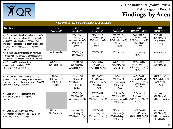

|                                                                                                                                                                                                                                                          |                                                            |                                                                            | ADEQUACY OF PLANNING AND ADEQUACY OF SERVICES                               |                                                                                  |                                                                                     |                                                                  |
|----------------------------------------------------------------------------------------------------------------------------------------------------------------------------------------------------------------------------------------------------------|------------------------------------------------------------|----------------------------------------------------------------------------|-----------------------------------------------------------------------------|----------------------------------------------------------------------------------|-------------------------------------------------------------------------------------|------------------------------------------------------------------|
| Question                                                                                                                                                                                                                                                 | 2016<br>(sample=49)                                        | 2017<br>(sample=26)                                                        | 2018<br>(sample=47)                                                         | 2019<br>(sample=48)                                                              | 2020<br>(sample=33 DDW)                                                             | 2021<br>(sample=10)                                              |
| 61. For medical, clinical or health related rec's,<br>has a DCF been completed if the individual<br>and/or their guardian/health care decision<br>maker have decided not to follow all or part of<br>an order, rec, or suggestion? '17IQR#5c,<br>18IQR68 |                                                            | 14% Yes(2)<br>21% Many (3)<br>36% Needs Impv (5)<br>29% No (4)<br>(6 N/A)  | 45% Yes (13)<br>10% Many (3)<br>7% Needs Impv(2)<br>38% No (11)<br>(18 N/A) | 45% Yes (15)<br>21% Many (7)<br>21% Needs Impv (7)<br>12% No (4)<br>(15 N/A)     | 42.9% Yes (9)<br>14.3% Many (3)<br>9.5% Needs Impv (2)<br>33.3% No (7)<br>(12 N/A)  | 60% Yes (3)<br>20% Many (1)<br>20% No (1)<br>(5 N/A)             |
| 62. Is there a document called an Individual<br>Service Plan (ISP) that was developed within<br>the past year? CPRQ61; '17IQR#9, '18IQR69                                                                                                                | 100% Yes (49)                                              | 88% Yes (23)<br>12% Many (3)                                               | 100% Yes (47)                                                               | 100% Yes (48)                                                                    | 97% Yes (32)<br>3% No (1)                                                           | 100% Yes (10)                                                    |
| 63. Was the ISP developed by an<br>appropriately constituted IDT?<br>CPRQ62; '17IQR#3, '18IQR70                                                                                                                                                          | 55% Yes (27)<br>45% Partial (22)                           | 38% Yes (10)<br>38% Many (10)<br>23% Need Impv (6)                         | 43% Yes (20)<br>47% Many (22)<br>11% Needs Impv (5)                         | 58% Yes (28)<br>40% Many (19)<br>2% No (1)                                       | 39.4% Yes (13)<br>51.5% Many (17)<br>6.1% Needs Impv (2)<br>3% No (1)               | 50% Yes (5)<br>50% Many (5)                                      |
| 64. For any team members not physically<br>present at the IDT meeting, is there evidence of<br>their participation in the development of the ISP?<br>CPRQ63; '17IQR#3d, '18IQR71                                                                         | 34% Yes (12)<br>49% Partial (17)<br>17% No (6)<br>(14 N/A) | 57% Yes (12)<br>14% Many (3)<br>19% Need Impv (4)<br>10% No (2)<br>(5 N/A) | 55% Yes (22)<br>18% Many (7)<br>13% Needs Impv (5)<br>15% No (6)<br>(7 N/A) | 55% Yes (18)<br>27% Many (9)<br>9% Needs Impv (3)<br>$9\%$ No $(3)$<br>(15 N//A) | 45.4% Yes (10)<br>27.3% Many (6)<br>9.1% Needs Impv (2)<br>18.2% No (4)<br>(11 N/A) | 66.6% Yes (4)<br>16.7% Needs Impv (1)<br>16.7% No (1)<br>(4 N/A) |
| 65. Does my ISP contain current and<br>accurate information? '17IQR#6,<br>'18IQR72                                                                                                                                                                       |                                                            | 15% Yes (4)<br>38% Many (10)<br>46% Need Impv (12)                         | 23% Yes (11)<br>38% Many (18)<br>38% Needs Impv (18)                        | 17% Yes (8)<br>58% Many (28)<br>23% Needs Impv (11)<br>2% No (1)                 | 15.2% Yes (5)<br>51.5% Many (17)<br>30.3% Needs Impv (10)<br>$3%$ No $(1)$          | 30% Yes (3)<br>40% Many (4)<br>30% Needs Impv (3)                |
| 66. Does the long term vision show<br>expectations for growth and skill building?<br>CPRQ64; '17IQR#7b, '18IQR73                                                                                                                                         | 49% Yes (24)<br>51% Partial (25)                           | 46% Yes (12)<br>19% Many (5)<br>35% Need Impv (9)                          | 40% Yes (19)<br>32% Many (15)<br>23% Needs Impv (11)<br>4% No (2)           | 69% Yes (33)<br>19% Many (9)<br>10% Needs Impv (5)<br>2% No (1)                  | 42.4% Yes (14)<br>27.3% Many (9)<br>24.2% Needs Impv (8)<br>6.1% No (2)             | 40% Yes (4)<br>30% Many (3)<br>20% Needs Impv (2)<br>10% No (1)  |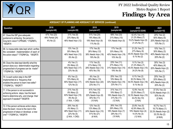

| ADEQUACY OF PLANNING AND ADEQUACY OF SERVICES (continued)                                                                                                   |                                               |                                                                                  |                                                                              |                                                                                  |                                                                                      |                                                                                    |  |  |
|-------------------------------------------------------------------------------------------------------------------------------------------------------------|-----------------------------------------------|----------------------------------------------------------------------------------|------------------------------------------------------------------------------|----------------------------------------------------------------------------------|--------------------------------------------------------------------------------------|------------------------------------------------------------------------------------|--|--|
| Question                                                                                                                                                    | 2016<br>(sample=49)                           | 2017<br>(sample=26)                                                              | 2018<br>(sample=47)                                                          | 2019<br>(sample=48)                                                              | 2020<br>(sample=33 DDW)                                                              | 2021<br>(sample=10)                                                                |  |  |
| 67. Does the ISP give adequate<br>guidance to achieving the person's<br>long-term vision? CPRQ65; '17IQR#7c,<br>'18IQR74                                    | 47% Yes (23)<br>49% Partial (24)<br>4% No (2) | 31% Yes (8)<br>23% Many (6)<br>46% Need Impv (12)                                | 51% Yes (24)<br>19% Many (9)<br>19% Need Impv (9)<br>11% No (5)              | 69% Yes (33)<br>21% Many (10)<br>10% Needs Impv (5)                              | 42.4% Yes (14)<br>21.2% Many (7)<br>15.2% Needs Impv (5)<br>21.2% No (7)             | 20% Yes (2)<br>50% Many (5)<br>20% Needs Impv (2)<br>10% No (1)                    |  |  |
| 68. Is measurable data kept which verifies<br>the consistent implementation of each of<br>the action steps? '17IQR#12a, '18IQR75                            |                                               | 12% Yes (3)<br>35% Many (9)<br>46% Need Impv (12)<br>8% No (2)                   | 17% Yes (8)<br>26% Many (12)<br>38% Needs Impv (18)<br>19% No (9)            | 17% Yes (8)<br>33% Many (16)<br>40% Needs Impv (19)<br>10% No (5)                | 21.2% Yes (7)<br>27% Many (9)<br>45.5% Needs Impv (15)<br>$6.1\%$ No (2)             | 10% Yes (1)<br>30% Many (3)<br>40% Needs Impv (4)<br>20% No (2)                    |  |  |
| 69. Does the data kept identify what the<br>person does so a determination regarding<br>progress/lack of progress can be made?<br>'17IQR#12b, '18IQR76      |                                               | 4% Yes (1)<br>8% Many (2)<br>65% Need Impv (17)<br>23% No (6)                    | 11% Yes (5)<br>21% Many (10)<br>28% Needs Impv (13)<br>40% No (19)           | $23%$ Yes (11)<br>27% Many (13)<br>31% Needs Impv (15)<br>19% No (9)             | $9.1\%$ Yes (3)<br>21.2% Many (7)<br>45.5% Needs Impv (15)<br>24.2% No (8)           | 30% Yes (3)<br>40% Many (4)<br>20% Needs Impv (2)<br>10% No (1)                    |  |  |
| 70. Is each action step in the ISP<br>implemented at a frequency that<br>enables the person to learn new skills?<br>'17IQR#12c, '18IQR77                    |                                               | 8% Yes (2)<br>15% Many (4)<br>65% Need Impv (17)<br>12% No (3)                   | 6% Yes (3)<br>28% Many (13)<br>43% Needs Impv (20)<br>23% No (11)            | 25% Yes (12)<br>19% Many (9)<br>33% Needs Impv (16)<br>23% No (11)               | 6.1% Yes (2)<br>30.3% Many (10)<br>54.5% Needs Impv (18)<br>$9.1\%$ No $(3)$         | 20% Yes (2)<br>20% Many (2)<br>40% Needs Impv (4)<br>20% No (2)                    |  |  |
| 71. If the person is not successful in<br>achieving actions steps, has the team<br>tried to determine why, and change their<br>approach if needed? '18IQR78 |                                               | 21% Yes (5)<br>8% Many (2)<br>63% Need Impv (15)<br>8% No (2)<br>(1 N/A, 1 CND)  | 41% Yes (15)<br>8% Many (3)<br>22% Needs Impv (8)<br>30% No (11)<br>(10 N/A) | 31% Yes (11)<br>19% Many (7)<br>19% Needs Impv (7)<br>31% No (11)<br>(12 N/A)    | 12.9% Yes (4)<br>22.5% Many (7)<br>32.3% Needs Impv (10)<br>32.2% No (10)<br>(2 N/A) | 37.5% Yes (3)<br>12.5% Needs Impv (1)<br>50% No (4)<br>(2 N/A)                     |  |  |
| 72. If the person achieves action steps,<br>does the team move to the next in the<br>progression of steps or develops a new<br>one? '17IQR#12c, '18IQR79    |                                               | 26% Yes (6)<br>4% Many (1)<br>48% Need Impv (11)<br>22% No (5)<br>(2 N/A, 1 CND) | 12% Yes (5)<br>12% Many (5)<br>24% Needs Impv (10)<br>51% No (21)<br>(6 N/A) | $26%$ Yes (10)<br>26% Many (10)<br>18% Needs Impv (7)<br>29% No (11)<br>(10 N/A) | 23.8% Yes (5)<br>42.9% Many (9)<br>19% Needs Impv (4)<br>14.3% No (3)<br>(12 N/A)    | 16.7% Yes (1)<br>16.7% Many (1)<br>33.3% Needs Impv (2)<br>33.3% No (2)<br>(4 N/A) |  |  |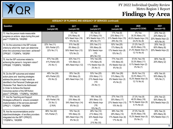

#### **ADEQUACY OF PLANNING AND ADEQUACY OF SERVICES (continued)**

| Question                                                                                                                                                                                                                                                                                                                 | 2016<br>(sample=49)                                      | 2017<br>(sample=26)                                            | 2018<br>(sample=47)                                                    | 2019<br>(sample=48)                                                | 2020<br>(sample=33 DDW)                                                   | 2021<br>(sample=10)                                             |
|--------------------------------------------------------------------------------------------------------------------------------------------------------------------------------------------------------------------------------------------------------------------------------------------------------------------------|----------------------------------------------------------|----------------------------------------------------------------|------------------------------------------------------------------------|--------------------------------------------------------------------|---------------------------------------------------------------------------|-----------------------------------------------------------------|
| 73. Has the person made measurable<br>progress on actions steps during this past<br>year?'17IQR#13b, '18IQR80                                                                                                                                                                                                            |                                                          | 0% Yes<br>23% Many (6)<br>62% Need Impv (16)<br>15% No (4)     | 6% Yes (3)<br>21% Many (10)<br>36% Needs Impv (17)<br>36% No (17)      | 17% Yes (8)<br>23% Many (11)<br>31% Needs Impv (15)<br>29% No (14) | 0% Yes<br>30.3% Many (10)<br>45.5% Needs Impv (15)<br>24.2% No (8)        | 20% Yes (2)<br>20% Many (2)<br>20% Needs Impv (2)<br>40% No (4) |
| 74. Do the outcomes in the ISP include<br>criteria by which the team can determine<br>when the outcome(s) have been achieved?<br>CPRQ67; '17IQR#7e, '18IQR81]                                                                                                                                                            | 22% Yes (11)<br>55% Partial (27)<br>22% No (11)          | 31% Yes (8)<br>8% Many (2)<br>50% Need Impv (13)<br>12% No (3) | 23% Yes (11)<br>19% Many (9)<br>32% Needs Impv<br>(15)<br>26% No (12)  | 52% Yes (25)<br>17% Many (8)<br>17% Needs Impv (8)<br>15% No (7)   | 21.2% Yes (7)<br>45.5% Many (15)<br>21.2% Needs Impv (7)<br>12.1% No (4)  | 20% Yes (2)<br>60% Many (6)<br>20% Needs Impv (2)               |
| 75. Are the ISP outcomes related to<br>achieving the person's long-term vision?<br>CPRQ68; '17IQR#7d, '18IQR82                                                                                                                                                                                                           | 57% Yes (28)<br>41% Partial (20)<br>2% No (1)            | 42% Yes (11)<br>12% Many (3)<br>46% Need Impv (12)             | 74% Yes (35)<br>13% Many (6)<br>11% Needs Impv (5)<br>2% No (1)        | 77% Yes (37)<br>13% Many (6)<br>4% Needs Impv (2)<br>6% No (3)     | 57.6% Yes (19)<br>33.3% Many (11)<br>6.1% Needs Impv (2)<br>3% No (1)     | 80% Yes (8)<br>20% Many (2)                                     |
| 76. Do the ISP outcomes and related<br>action plans and teaching strategies<br>address the person's major needs as<br>identified in the Personal Challenges and<br>Obstacles That Need to be Addressed<br>In Order to Achieve the Desired<br>l Outcomes section of the ISP/Action<br>plans?" CPRQ69; '17IQR#7g, '18IQR83 | 49% Yes (24)<br>45% Partial (22)<br>6% No (3)            | 35% Yes (9)<br>19% Many (5)<br>46% Need Impv (12)              | 53% Yes (25)<br>23% Many (11)<br>21% Needs Impv<br>(10)<br>2% No (1)   | 58% Yes (28)<br>31% Many (15)<br>6% Needs Impv (3)<br>4% No (2)    | 39.4% Yes (13)<br>33.3% Many (11)<br>15.2% Needs Impv (5)<br>12.1% No (4) | 40% Yes (4)<br>50% Many (5)<br>10% No (1)                       |
| 77. Are the Teaching and Support<br>Strategies sufficient to ensure consistent<br>implementation of the services planned?<br>CPRQ71; '17IQR#7i, '18IQR84                                                                                                                                                                 | 57% Yes (27)<br>40% Partial (19)<br>2% No (1)<br>(2 N/A) | 15% Yes (4)<br>23% Many (6)<br>54% Need Impv (14)<br>8% No (2) | 19% Yes (9)<br>26% Many (12)<br>40% Needs Impv<br>(19)<br>15% No (7)   | 27% Yes (13)<br>35% Many (17)<br>27% Needs Impv (13)<br>10% No (5) | 27.3% Yes (9)<br>48.5% Many (16)<br>18.1% Needs Impv (6)<br>6.1% No (2)   | 20% Yes (2)<br>50% Many (5)<br>30% Needs Impv (3)               |
| 178. Are the recommendations and/or<br>objectives/strategies of ancillary providers<br>integrated into the ISP? CPRQ72;<br>'17IQR#7m, '18IQR85                                                                                                                                                                           | 86% Yes (42)<br>14% Partial (7)                          | 15% Yes (4)<br>19% Many (5)<br>58% Need Impv (15)<br>8% No (2) | 26% Yes (12)<br>21% Many (10)<br>32% Needs Impv<br>(15)<br>21% No (10) | 38% Yes (18)<br>29% Many (14)<br>17% Needs Impv (8)<br>17% No (8)  | 27.3% Yes (9)<br>54.5% Many (18)<br>15.2% Needs Impv (5)<br>3% No (1)     | 30% Yes (3)<br>60% Many (6)<br>10% Needs Impv (1)               |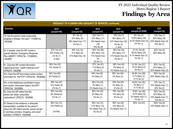

| ADEQUACY OF PLANNING AND ADEQUACY OF SERVICES (continued)                                                                                                                                                            |                                                          |                                                               |                                                                       |                                                                            |                                                                         |                                                                 |  |
|----------------------------------------------------------------------------------------------------------------------------------------------------------------------------------------------------------------------|----------------------------------------------------------|---------------------------------------------------------------|-----------------------------------------------------------------------|----------------------------------------------------------------------------|-------------------------------------------------------------------------|-----------------------------------------------------------------|--|
| Question                                                                                                                                                                                                             | 2016<br>(sample=49)                                      | 2017<br>(sample=26)                                           | 2018<br>(sample=47)                                                   | 2019<br>(sample=48)                                                        | 2020<br>(sample=33 DDW)                                                 | 2021<br>(sample=10)                                             |  |
| 79. Has the person made measurable<br>progress in therapy this year? '17IQR#13a,<br>'18IQR86                                                                                                                         |                                                          | 8% Yes (2)<br>23% Many (6)<br>65% Need Impv (17)<br>4% No (1) | 23% Yes (11)<br>23% Many (11)<br>34% Needs Impv<br>(16)<br>19% No (9) | 15% Yes (7)<br>36% Many (17)<br>43% Need Impv (20)<br>6% No (3)<br>(1 N/A) | 6% Yes (2)<br>75.8% Many (25)<br>15.2% Needs Impv (5)<br>$3\%$ No $(1)$ | 10% Yes (1)<br>60% Many (6)<br>20% Needs Impv (2)<br>10% No (1) |  |
| 80. If needed, does the ISP contain a<br>specific Medical Emergency Response<br>Plan (MERP)? CPRQ73b '17IQR#20c,<br>'18IQR87                                                                                         | 57% Yes (27)<br>40% Partial (19)<br>2% No (1)<br>(2 N/A) | 38% Yes (10)<br>31% Many (8)<br>31% Need Impv (8)             | 55% Yes (26)<br>26% Many (12)<br>17% Needs Impv<br>(8)<br>2% No (1)   | 46% Yes (22)<br>35% Many (17)<br>17% Needs Impv (8)<br>2% No (1)           | 27.3% Yes (9)<br>60.6% Many (20)<br>9.1% Needs Impv (3)<br>3% No (1)    | 40% Yes (4)<br>60% Many (6)                                     |  |
| 81. Does the ISP contain information<br>regarding primary health (medical) care?<br>CPRQ74, '18IQR88                                                                                                                 | 86% Yes (42)<br>14% Partial (7)                          |                                                               | 87% Yes (41)<br>11% Many (5)<br>2% No (1)                             | 88% Yes (42)<br>8% Many (4)<br>4% Needs Impv (2)                           | 81.8% Yes (27)<br>15.2% Many (5)<br>3% No (1)                           | 60% Yes (6)<br>20% Many (2)<br>20% Needs Impv (2)               |  |
| 81a. Does the ISP face sheet contain contact<br>information for the PCP? CPRQ74a, '18IQR88a                                                                                                                          | 94% Yes (46)<br>6% Partial (3)                           |                                                               | 94% Yes (44)<br>6% Many (3)                                           | 96% Yes (46)<br>4% Many (2)                                                | 84.8% Yes (28)<br>6.1% Many (2)<br>9.1% No (3)                          | 80% Yes (8)<br>20% Needs Impv (2)                               |  |
| 81b. Is the Healthcare coordinator's name<br>and contact information listed in the ISP?<br>CPRQ74b, '18IQR88b                                                                                                        | $86%$ Yes (42)<br>12% Partial (6)<br>2% No (1)           |                                                               | 96% Yes (45)<br>2% Many (1)<br>2% Needs Impv (1)                      | 92% Yes (44)<br>4% Many (2)<br>4% No (2)                                   | 90.9% Yes (30)<br>3% Many (1)<br>6.1% No (2)                            | 70% Yes (7)<br>10% Needs Impv (1)<br>20% No (2)                 |  |
| 82. Does the ISP reflect how the<br>person will obtain prescribed<br>medications? CPRQ76, '18IQR89                                                                                                                   | 90% Yes (44)<br>8% Partial (4)<br>2% No (1)              |                                                               | 89% Yes (42)<br>9% Many (4)<br>2% No (1)                              | 79% Yes (38)<br>13% Many (6)<br>8% No (4)                                  | 75.8% Yes (25)<br>18.2% Many (6)<br>3% Needs Impv (1)<br>3% No (1)      | 50% Yes (5)<br>30% Many (3)<br>10% Needs Impv (1)<br>10% No (1) |  |
| 83. Based on the evidence, is adequate<br>transportation available for the person?<br>(Does the ISP reflect how the person will get<br>to work/day activities, shopping, and social<br>activities? CPRQ75, '18IQR90) | 86% Yes (12)<br>14% Partial (2)<br>(35 N/A)              |                                                               | 66% Yes (31)<br>21% Many (10)<br>4% Needs Impv (2)<br>9% No (4)       | 88% Yes (42)<br>10% Many (5)<br>2% Needs Impv (1)                          | 100% Yes (33)                                                           | 90% Yes (9)<br>10% Needs Impv (1)                               |  |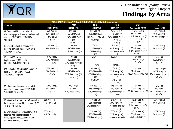

| ADEQUACY OF PLANNING AND ADEQUACY OF SERVICES (continued)                                                                                           |                                                          |                                                                   |                                                                                      |                                                                               |                                                                                     |                                                                    |  |  |
|-----------------------------------------------------------------------------------------------------------------------------------------------------|----------------------------------------------------------|-------------------------------------------------------------------|--------------------------------------------------------------------------------------|-------------------------------------------------------------------------------|-------------------------------------------------------------------------------------|--------------------------------------------------------------------|--|--|
| Question                                                                                                                                            | 2016<br>(sample=49)                                      | 2017<br>(sample=26)                                               | 2018<br>(sample=47)                                                                  | 2019<br>(sample=48)                                                           | 2020<br>(sample=33 DDW)                                                             | 2021<br>(sample=10)                                                |  |  |
| 84. Does the ISP contain a list of<br>adaptive equipment needed and who will<br>provide it? CPRQ77; '17IQR#25a,<br>'18IQR91                         | 50% Yes (22)<br>45% Partial (20)<br>5% No (2)<br>(5 N/A) | 27% Yes (7)<br>27% Many (7)<br>42% Need Impv<br>(11)<br>4% No (1) | 34% Yes (16)<br>43% Many (20)<br>13% Needs Impv (6)<br>4% No (2)                     | 40% Yes (17)<br>44% Many (19)<br>12% Needs Impv (5)<br>5% No (2)<br>(5 N/A)   | 31.2% Yes (10)<br>37.5% Many (12)<br>21.9% Needs Impv (7)<br>9.4% No (3)<br>(1 N/A) | 30% Yes (3)<br>40% Many (4)<br>30% Needs Impv (3)                  |  |  |
| 85. Overall, is the ISP adequate to<br>meet the person's needs? CPRQ78;<br>'17IQR#7, '18IQR92                                                       | 6% Yes (3)<br>94% Partial (46)                           | 0% Yes<br>27% Many (7)<br>73% Need Impv (19)                      | 0% Yes<br>55% Many (26)<br>45% Needs Impv<br>(21)                                    | 2% Yes (1)<br>65% Many (31)<br>33% Needs Impv<br>(16)                         | 0% Yes<br>75.8% Many (25)<br>21.2% Needs Impv (7)<br>3% No (1)                      | 10% Yes (1)<br>90% Many (9)                                        |  |  |
| 86. Is the ISP being<br>implemented? (If 85 is "3")<br>CPRQ79 '17IQR#12, '18IQR93                                                                   | 67% Yes (2)<br>33% Partial (1)<br>(46 N/A)               | 0% Yes<br>19% Many (5)<br>77% Need Impv (20)<br>4% No (1)         | 0% Yes<br>(47 N/A)                                                                   | 100% Yes (1)<br>(47 N/A)                                                      | 0% Yes<br>100% Many (2)<br>(31 N/A)                                                 | 0% Yes<br>100% Many (1)<br>(9 N/A)                                 |  |  |
| 87a. Is the ISP being implemented? (If<br>85 is "0", "1", or "2") CPRQ80a<br>'17IQR#12, '18IQR94a                                                   | 26% Yes (12)<br>74% Partial (34)<br>(3 N/A)              | 0% Yes<br>19% Many (5)<br>77% Need Impv (20)<br>4% No (1)         | $\sqrt{9\% \text{ Yes}}$ (4)<br>45% Many (21)<br>43% Needs Impv<br>(20)<br>4% No (2) | 4% Yes (2)<br>55% Many (26)<br>36% Needs Impv<br>(17)<br>4% No (2)<br>(1 N/A) | 0% Yes<br>51.5% Many (17)<br>48.5% Needs Impv (16)                                  | 11.1% Yes (1)<br>33.3% Many (3)<br>55.6% Needs Impv (5)<br>(1 N/A) |  |  |
| 87b. Are current services adequate to<br>meet the person's needs? CPRQ80b<br>'17IQR#11, '18IQR94b                                                   | 20% Yes (9)<br>80% Partial (37)<br>(3 N/A)               | 4% Yes (1)<br>54% Many (14)<br>42% Need Impv (11)                 | $23%$ Yes (11)<br>47% Many (22)<br>30% Needs Impv<br>(14)                            | 47% Yes (22)<br>34% Many (16)<br>19% Needs Impv (9)<br>(1 N/A)                | 0% Yes<br>60.6% Many (20)<br>39.4% Needs Impv (13)                                  | 0% Yes<br>77.8% Many (7)<br>22.2% Needs Impv (2)<br>(1 N/A)        |  |  |
| 88. Was the direct service staff trained on<br>the implementation of this person's ISP?<br>CPRQ81, '18IQR95                                         | 86% Yes (42)<br>14% Partial (7)                          |                                                                   | 74% Yes (35)<br>23% Many (11)<br>2% Needs Impv (1)                                   | 54% Yes (26)<br>38% Many (18)<br>6% Needs Impv (3)<br>2% No (1)               | 15.2% Yes (5)<br>72.7% Many (24)<br>9.1% Needs Impv (3)<br>3% No (1)                | 20% Yes (2)<br>80% Many (8)                                        |  |  |
| 89. Were the direct service staff able to<br>describe their responsibilities in<br>providing daily care/supports to the<br>person? CPRQ82, '18IQR96 | 86% Yes (42)<br>14% Partial (7)                          |                                                                   | 72% Yes (34)<br>26% Many (12)<br>2% Needs Impv (1)                                   | 65% Yes (31)<br>33% Many (16)<br>2% Needs Impv (1)                            | 18.2% Yes (6)<br>78.8% Many (26)<br>3% Needs Impv (1)                               | 10% Yes (1)<br>90% Many (9)                                        |  |  |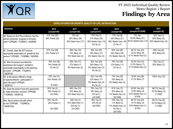

| <b>EXPECTATIONS FOR GROWTH, QUALITY OF LIFE, SATISFACTION</b>                                                                                               |                                               |                                                              |                                                                  |                                                                               |                                                                    |                                                   |  |
|-------------------------------------------------------------------------------------------------------------------------------------------------------------|-----------------------------------------------|--------------------------------------------------------------|------------------------------------------------------------------|-------------------------------------------------------------------------------|--------------------------------------------------------------------|---------------------------------------------------|--|
| Question                                                                                                                                                    | 2016<br>(sample=49)                           | 2017<br>(sample=26)                                          | 2018<br>(sample=47)                                              | 2019<br>(sample=48)                                                           | 2020<br>(sample=33 DDW)                                            | 2021<br>(sample=10)                               |  |
| 90. Based on all of the evidence, has the<br>person achieved progress in the past<br>year? CPRQ84; '17IQR#13, '18IQR98                                      | 41% Yes (20)<br>59% Partial (29)              | 0% Yes<br>35% Many (39)<br>65% Need Impv (17)                | 15% Yes (7)<br>51% Many (24)<br>28% Needs Impv (13)<br>6% No (3) | 17% Yes (8)<br>44% Many (21)<br>38% Needs Impv (18)<br>2% No (1)              | 0% Yes<br>63.6% Many (21)<br>36.4% Needs Impv (12)                 | 10% Yes (1)<br>50% Many (5)<br>40% Needs Impv (4) |  |
| 91. Overall, does the IDT have an<br>appropriate expectation of growth for this<br>person? CPRQ85; '17IQR#8d, '18IQR99                                      | 57% Yes (28)<br>43% Partial (21)              | 69% Yes (18)<br>15% Many (4)<br>15% Need Impv (4)            | 49% Yes (23)<br>45% Many (21)<br>6% Needs Impv (3)               | 54% Yes (26)<br>42% Many (20)<br>4% Needs Impv (2)                            | 69.7% Yes (23)<br>24.2% Many (8)<br>6.1% Needs Impv (2)            | 60% Yes (6)<br>40% Many (4)                       |  |
| 92. Was the person provided the<br>assistance and support needed to<br>participate meaningfully in the planning<br>process? CPRQ86; '17IQR#1b,<br>'18IQR100 | 78% Yes (38)<br>18% Partial (9)<br>4% No (2)  | 65% Yes (17)<br>27% Many (7)<br>8% Need Impv (2)             | 62% Yes (29)<br>26% Many (12)<br>6% Needs Impv (3)<br>6% No (3)  | 75% Yes (36)<br>23% Many (11)<br>2% No (1)                                    | 42.4% Yes (14)<br>51.5% Many (17)<br>6.1% Needs Impv (2)           | 70% Yes (7)<br>30% Many (3)                       |  |
| 93. Is the person offered a range<br>of opportunities for participation in<br>each life area? CPRQ87,<br>'18IQR101                                          | 76% Yes (31)<br>24% Partial (10)<br>$(8$ CND) |                                                              | 62% Yes (29)<br>23% Many (11)<br>9% Needs Impv (4)<br>6% No (3)  | 73% Yes (35)<br>19% Many (9)<br>8% Needs Impv (4)                             | 78.8% Yes (26)<br>21.2% Many (7)                                   | 100% Yes (10)                                     |  |
| 94. Does the person have the opportunity<br>to make informed choices? CPRQ88;<br>17IQR#30, 18IQR102                                                         | 50% Yes (3)<br>50% Partial (3)<br>(43 CND)    | 46% Yes (12)<br>35% Many (9)<br>19% Need Impv (5)            | 76% Yes (13)<br>18% Many (3)<br>6% No (1)<br>(30 CND)            | 61% Yes (17)<br>32% Many (9)<br>7% Needs Impv (2)<br>(20 CND)                 | 82.8% Yes (24)<br>13.8% Many (4)<br>3.4% Needs Impv (1)<br>(4 N/A) | 66.7% Yes (6)<br>33.3% Many (3)<br>$(1$ CND)      |  |
| 94a. About where and with whom<br>to live?CPRQ89; '17IQR#23c,<br>'18IQR102a                                                                                 | 75% Yes (3)<br>25% Partial (1)<br>(45 CND)    | 33% Yes (1)<br>33% Need Impv (1)<br>33% No (1)<br>$(23$ CND) | 78% Yes (7)<br>22% No (2)<br>(38 CND)                            | 74% Yes (14)<br>11% Many (2)<br>11% Needs Impv (2)<br>5% No (1)<br>$(29$ CND) | 85.7% Yes (24)<br>10.7% Many (3)<br>3.6% Needs Impv (1)<br>(5 N/A) | 66.7% Yes (6)<br>33.3% Many (3)<br>$(1$ CND)      |  |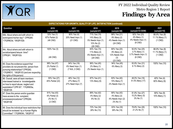

| <b>EXPECTATIONS FOR GROWTH, QUALITY OF LIFE, SATISFACTION (continued)</b>                                                                                                                   |                                                          |                                                    |                                                                             |                                                                    |                                                                     |                                              |  |
|---------------------------------------------------------------------------------------------------------------------------------------------------------------------------------------------|----------------------------------------------------------|----------------------------------------------------|-----------------------------------------------------------------------------|--------------------------------------------------------------------|---------------------------------------------------------------------|----------------------------------------------|--|
| Question                                                                                                                                                                                    | 2016<br>(sample=49)                                      | 2017<br>(sample=26)                                | 2018<br>(sample=47)                                                         | 2019<br>(sample=48)                                                | 2020<br>(sample=33 DDW)                                             | 2021<br>(sample=10)                          |  |
| 94b. About where and with whom to<br>work/spend his/her day? CPRQ90;<br>17IQR#23d, '18IQR102b                                                                                               | 33% Yes (1)<br>67% Partial (2)<br>$(46$ CND)             | $80\%$ Yes (4)<br>20% Need Impv (1)<br>$(21$ CND)  | 71% Yes (15)<br>14% Many (3)<br>5% Needs Impv (1)<br>10% No (2)<br>(26 CND) | 88% Yes (21)<br>8% Many (2)<br>4% Needs Impv (1)<br>(24 CND)       | 92% Yes (23)<br>4% Many (1)<br>4% Needs Impv (1)<br>$(8$ CND)       | 88.9% Yes (8)<br>11.1% Many (1)<br>$(1$ CND) |  |
| 94c. About where and with whom to<br>socialize/spend leisure time?<br>CPRQ91, '18IQR102c                                                                                                    | 100% Yes (3)<br>(46 CND)                                 |                                                    | 83% Yes (15)<br>11% Many (2)<br>6% Needs Impv (1)<br>(29 CND)               | 80% Yes (20)<br>8% Many (2)<br>12% Needs Impv<br>(3)<br>$(23$ CND) | 92.6% Yes (25)<br>3.7% Many (1)<br>3.7% Needs Impv (1)<br>$(6$ CND) | 88.9% Yes (8)<br>11.1% Many (1)<br>$(1$ CND) |  |
| 95. Does the evidence support that<br>providers do not prevent the person from<br>pursuing relationships? CPRQ92;<br>17IQR#31f, '18IQR103 (and are respecting<br>the rights of this person) | 98% Yes (47)<br>2% Partial (1)<br>$(1$ CND)              | 94% Yes (16)<br>6% Need Impv (1)<br>(7 N/A, 2 CND) | 96% Yes (45)<br>2% Many (1)<br>2% Needs Impv (1)                            | 94% Yes (45)<br>6% Many (3)                                        | 93.9% Yes (31)<br>6.1% Many (2)                                     | 100% Yes (10)                                |  |
| 96. Overall, were all team members<br>interviewed trained or knowledgeable<br>on how to report abuse, neglect and<br>exploitation? CPR 93*; '17IQR#35a,<br>'18IQR105                        | 55% Yes (27)<br>45% Partial (22)                         | 46% Yes (12)<br>27% Many (7)<br>27% Need Impv (7)  | 87% Yes (41)<br>13% Many (6)                                                | 83% Yes (40)<br>15% Many (7)<br>2% Needs Impv (1)                  | 48.5% Yes (16)<br>51.5% Many (17)                                   | 40% Yes (4)<br>60% Many (6)                  |  |
| 97. Does this person and/or guardian<br>have access to the complaint<br>processes/procedures? CPRQ94,<br>18IQR106 <sup>.</sup>                                                              | 91% Yes (43)<br>6% Partial (3)<br>2% No (1)<br>$(2$ CND) |                                                    | 89% Yes (42)<br>4% Many (2)<br>6% No (3)                                    | 90% Yes (43)<br>4% Many (2)<br>4% Needs Impv (2)<br>2% No (1)      | 81.8% Yes (27)<br>15.2% Many (5)<br>3% No (1)                       | 90% Yes (9)<br>10% Many (1)                  |  |
| 98. Does the individual have restrictions that<br>should be reviewed by a Human Rights<br>Committee? '17IQR#34h, '18IQR107                                                                  |                                                          |                                                    | 72% Yes (34)<br>28% No (13)                                                 | 63% Yes (30)<br>38% No (18)                                        | 78.8% Yes (26)<br>21.2% No (7)                                      | 100% Yes (10)                                |  |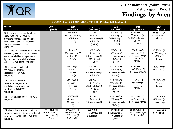

| <b>EXPECTATIONS FOR GROWTH, QUALITY OF LIFE, SATISFACTION (continued)</b>                                                                                                                                         |                                                                    |                                                                       |                                                                              |                                                                                |                                                                                     |                                                            |  |  |  |
|-------------------------------------------------------------------------------------------------------------------------------------------------------------------------------------------------------------------|--------------------------------------------------------------------|-----------------------------------------------------------------------|------------------------------------------------------------------------------|--------------------------------------------------------------------------------|-------------------------------------------------------------------------------------|------------------------------------------------------------|--|--|--|
| Question                                                                                                                                                                                                          | 2016<br>(sample=49)                                                | 2017<br>(sample=26)                                                   | 2018<br>(sample=47)                                                          | 2019<br>(sample=48)                                                            | 2020<br>(sample=33 DDW)                                                             | 2021<br>(sample=10)                                        |  |  |  |
| 99. If there are restrictions that should<br>be reviewed by HRC, have the<br>restrictions been reviewed (quarterly)<br>and approved (annually) by the HRC?<br>If no, describe why. '17IQR#34i,<br>18IQR108        |                                                                    | 44% Yes (8)<br>28% Need Impv (5)<br>28% No (5)<br>(8 N/A)             | 50% Yes (17)<br>12% Many (4)<br>32% Needs Impv (11)<br>6% No (2)<br>(13 N/A) | 67% Yes (20)<br>10% Many (3)<br>7% Needs Impv (2)<br>17% No (5)<br>(18 N/A) 21 | 42.3% Yes (11)<br>30.8% Many (8)<br>15.4% Needs Impv (4)<br>11.5% No (3)<br>(7 N/A) | 55.6% Yes (5)<br>44.4% Many (4)<br>(1 N/A)                 |  |  |  |
| 100. If there are restrictions that should be<br>reviewed by HRC, is a plan in place to<br>enable the individual to regain his/her<br>rights and reduce or eliminate these<br>restrictions? '17IQR#34j, '18IQR109 |                                                                    | 0% Yes ()<br>57% Need Impv (8)<br>43% No (6)<br>(12 N/A)              | 16% Yes (5)<br>13% Many (4)<br>3% Needs Impv (1)<br>69% No (22)<br>(15 N/A)  | 22% Yes (6)<br>15% Many (4)<br>11% Needs Impv (3)<br>52% No (14)<br>(21 N/A)   | 28.6% Yes (6)<br>38.1% Many (8)<br>9.5% Needs Impv (2)<br>23.8% No (5)<br>(12 N/A)  | 42.9% Yes (3)<br>42.9% Many (3)<br>14.2% No (1)<br>(3 N/A) |  |  |  |
| 101. Is the person protected<br>from abuse, neglect and<br>exploitation? '17IQR#35,<br>18IQR110                                                                                                                   |                                                                    | 38% Yes (10)<br>42% Many (11)<br>19% Need<br>Impv(5)                  | 70% Yes (33)<br>19% Many (9)<br>4% Needs Impv (2)<br>6% No (3)               | 58% Yes (28)<br>19% Many (9)<br>19% Needs Impv (9)<br>4% No (2)                | 57.6% Yes (19)<br>39.4% Many (13)<br>3% Needs Impv (1)                              | 60% Yes (6)<br>40% Many (4)                                |  |  |  |
| 102. Have all incidents of<br>suspected abuse, neglect and<br>exploitation been reported and<br>investigated? '17IQR#35b,<br>'18IQR111                                                                            |                                                                    | 70% Yes (14)<br>5% Many (1)<br>25% Need<br>Impv(5)                    | 54% Yes (15)<br>18% Many (5)<br>21% Needs Impv (6)<br>7% No (2)<br>(19 N/A)  | 66% Yes (21)<br>16% Many (5)<br>16% Needs Impv (5)<br>3% No (1)<br>(16 N/A)    | 80% Yes (16)<br>15% Many (3)<br>5% No (1)<br>(13 N/A)                               | 85.7% Yes (6)<br>14.3% Many (1)<br>(3 N/A)                 |  |  |  |
| 103. Is the individual safe? '17IQR#24,<br>18IQR112                                                                                                                                                               |                                                                    | 46% Yes (12)<br>46% Many (12)<br>8% Need Impv<br>(2)                  | 79% Yes (37)<br>13% Many (6)<br>9% Needs Impv (4)                            | 65% Yes (31)<br>19% Many (9)<br>15% Needs Impv (7)<br>2% No (1)                | 69.7% Yes (23)<br>24.2% Many (8)<br>6.1% Needs Impv (2)                             | 50% Yes (5)<br>40% Many (4)<br>10% Needs Impv (1)          |  |  |  |
| 104. What is the level of participation of<br>the legal guardian in this person's life and<br>service planning? CPRQ 97; '17IQR#15a,<br>18IQR113                                                                  | 33% Active (16)<br>56% Moderate (27)<br>10% Limited (5)<br>(1 N/A) | 54% Active (14)<br>23% Moderate (6)<br>19% Limited (5)<br>4% None (1) | 32% Active (15)<br>34% Moderate (16)<br>34% Limited (16)                     | 32% Active (15)<br>51% Moderate (24)<br>17% Limited (8)<br>(1 N/A)             | 36.4% Active (12)<br>54.5% Moderate (18)<br>9.1% Limited (3)                        | 30% Active (3)<br>70% Moderate (7)                         |  |  |  |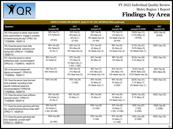

| <b>EXPECTATIONS FOR GROWTH, QUALITY OF LIFE, SATISFACTION (continued)</b>                                                                                        |                                                   |                                                                    |                                                                    |                                                               |                                                          |                             |  |  |  |
|------------------------------------------------------------------------------------------------------------------------------------------------------------------|---------------------------------------------------|--------------------------------------------------------------------|--------------------------------------------------------------------|---------------------------------------------------------------|----------------------------------------------------------|-----------------------------|--|--|--|
| Question                                                                                                                                                         | 2016<br>(sample=49)                               | 2017<br>(sample=26)                                                | 2018<br>(sample=47)                                                | 2019<br>(sample=48)                                           | 2020<br>(sample=33 DDW)                                  | 2021<br>(sample=10)         |  |  |  |
| 105. If the person is retired, does he/she<br>have opportunities to engage in activities<br>of interest during the day? CPRQ 100;<br>'17IQR#29b, '18IQR114       | 69% Yes (11)<br>31% Partial (5)<br>(33 N/A)       | 40% Yes (2)<br>40% Many (2)<br>20% No (1)<br>(21 N/A)              | 56% Yes (9)<br>25% Many (4)<br>19% Needs Impv (3)<br>(31 N/A)      | 77% Yes (17)<br>14% Many (3)<br>9% Needs Impv (2)<br>(26 N/A) | 78.6% Yes (11)<br>21.4% Many (3)<br>(19 N/A)             | 100% Yes (4)<br>(6 N/A)     |  |  |  |
| 106. Does the person have daily<br>choices/appropriate autonomy over<br>his/her life? CPRQ101 '17IQR#30,<br>'18IQR115                                            | 80% Yes (39)<br>18% Partial (9)<br>2% No (1)      | 46% Yes (12)<br>35% Many (9)<br>19% Need Impv (5)                  | $\sqrt{91\% \text{ Yes}}$ (43)<br>4% Many (2)<br>4% Needs Impv (2) | $88%$ Yes (42)<br>8% Many (4)<br>4% Needs Impv (2)            | 81.8% Yes (27)<br>15.2% Many (5)<br>3% Needs Impv (1)    | 100% Yes (10)               |  |  |  |
| 107. Have the person's cultural<br>preferences been accommodated?<br>CPRQ102; '17IQR#31e, '18IQR116                                                              | 96% Yes (47)<br>4% Partial (2)                    | 83% Yes (20)<br>13% Many (3)<br>4% Need Impv (1)<br>(1 N/A, 1 CND) | $\sqrt{94\% \text{ Yes}} (44)$<br>6% Many (3)                      | 88% Yes (42)<br>13% Many (6)                                  | 90.9% Yes (30)<br>9.1% Many (3)                          | 100% Yes (10)               |  |  |  |
| 108. Is the person treated with<br>dignity and respect? CPRQ103;<br>17IQR#34c, '18IQR117                                                                         | 35% Yes (17)<br>65% Partial (32)                  | 50% Yes (13)<br>31% Many (8)<br>19% Need Impv (5)                  | 36% Yes (17)<br>43% Many (20)<br>21% Needs Impv (10)               | $44\%$ Yes (21)<br>38% Many (18)<br>19% Needs Impv (9)        | 15.2% Yes (5)<br>69.6% Many (23)<br>15.2% Needs Impv (5) | 40% Yes (4)<br>60% Many (6) |  |  |  |
| 109. Does the person have food and<br>drink available according to their<br>specific nutritional needs and<br>recommendations? CPRQ108;<br>'17IQR#23e, '18IQR118 | 100% Yes (49)                                     | 100% Yes (25)<br>$(1$ CND)                                         | $\sqrt{94\% \text{ Yes (44)}}$<br>4% Many (2)<br>2% Needs Impv (1) | 95% Yes (42)<br>5% Many (2)<br>$(4$ CND)                      | 93.9% Yes (31)<br>3.1% Many (1)<br>3% Needs Impv (1)     | 100% Yes (10)               |  |  |  |
| 110. Does the person have sufficient<br>personal money? CPRQ110<br>'17IQR#34f, '18IQR119                                                                         | 92% Yes (45)<br>6% Partial (3)<br>2% No (1)       | 96% Yes (25)<br>4% Many (1)                                        | 98% Yes (46)<br>2% Many (1)                                        | 94% Yes (45)<br>4% Many (2)<br>2% Needs Impv (1)              | 90.9% Yes (30)<br>9.1% Many (3)                          | 100% Yes (10)               |  |  |  |
| 111. Does the person get along with their<br>day program/employment provider staff?<br>CPRQ111, '18IQR120                                                        | 95% Yes (19)<br>5% Partial (1)<br>(1 N/A, 28 CND) |                                                                    | 100% Yes (35)<br>(12 CND)                                          | 97% Yes (32)<br>3% Many (1)<br>(1 N/A, 14 CND)                | 100% Yes (27)<br>(1 N/A)<br>$(5$ CND)                    | 100% Yes (9)<br>$(1$ CND)   |  |  |  |
| 112. Does the person get along with<br>their residential provider staff?<br>CPRQ112, '18IQR121                                                                   | 100% Yes (26)<br>$(23$ CND)                       |                                                                    | 100% Yes (40)<br>$(7$ CND)                                         | 97% Yes (36)<br>3% Many (1)<br>$(11$ CND)                     | 100% Yes (28)<br>$(5$ CND)                               | 100% Yes (10)               |  |  |  |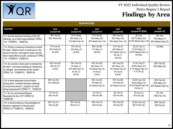

| <b>TEAM PROCESS</b>                                                                                                                                                                                                        |                                            |                                                                          |                                                                            |                                                                              |                                                                            |                                                   |  |
|----------------------------------------------------------------------------------------------------------------------------------------------------------------------------------------------------------------------------|--------------------------------------------|--------------------------------------------------------------------------|----------------------------------------------------------------------------|------------------------------------------------------------------------------|----------------------------------------------------------------------------|---------------------------------------------------|--|
| Question                                                                                                                                                                                                                   | 2016<br>(sample=49)                        | 2017<br>(sample=26)                                                      | 2018<br>(sample=47)                                                        | 2019<br>(sample=48)                                                          | 2020<br>(sample=33 DDW)                                                    | 2021<br>(sample=10)                               |  |
| 113. Are the individual members of the IDT<br>following up on their responsibilities? CPRQ<br>114; '17IQR#10, '18IQR122                                                                                                    | 18% Yes (9)<br>82% Partial (40)            | 31% Yes (8)<br>58% Many (15)<br>12% Need Impv (3)                        | 17% Yes (8)<br>53% Many (25)<br>30% Needs Impv (14)                        | $25%$ Yes (12)<br>50% Many (24)<br>25% Needs Impv (12)                       | 0% Yes<br>69.7% Many (23)<br>30.3% Needs Impv (10)                         | 0% Yes<br>70% Many (7)<br>30% Needs Impv (3)      |  |
| 114. If there is evidence of situations in which<br>the team failed to reach a consensus on the<br>person's service and support needs, has the<br>team made efforts to build consensus? CPRQ<br>115; '17IQR#17c, '18IQR123 | 71% Yes (5)<br>29% Partial (2)<br>(42 N/A) | 57% Yes (4)<br>43% Many (3)<br>(19 N/A)                                  | 89% Yes (8)<br>11% Many (1)<br>(38 N/A)                                    | 31% Yes (4)<br>46% Many (6)<br>15% Needs Impv (2)<br>8% No (1)<br>(35 N/A)   | 33.3% Yes (1)<br>33.3% Many (1)<br>33.4% Needs Impv (1)<br>(30 N/A)        | (10 N/A)                                          |  |
| 115. Do records or facts exist to indicate that<br>the team convened meetings as needed due<br>to changed circumstances and/or needs?<br>CPRQ 116; '17IQR#17d, '18IQR124                                                   | 62% Yes (28)<br>38% No (17)<br>(4 N/A)     | 75% Yes (15)<br>5% Many (1)<br>15% Need Impv (3)<br>5% No (1)<br>(6 N/A) | 44% Yes (20)<br>38% Many (17)<br>9% Needs Impv (4)<br>9% No (4)<br>(2 N/A) | 43% Yes (18)<br>29% Many (12)<br>19% Needs Impv (8)<br>10% No (4)<br>(6 N/A) | 21.2% Yes (7)<br>63.6% Many (21)<br>9.1% Needs Impv (3)<br>6.1% No $(2)$   | 50% Yes (5)<br>50% Many (5)                       |  |
| 116. Is there adequate communication<br>among team members between meetings<br>to ensure the person's program can be/is<br>being implemented? CPRQ117, '18IQR125                                                           | 88% Yes (43)<br>12% Partial (6)            |                                                                          | 85% Yes (40)<br>9% Many (4)<br>6% Needs Impv (3)                           | 75% Yes (36)<br>19% Many (9)<br>6% Needs Impv (3)                            | 30.3% Yes (10)<br>42.5% Many (14)<br>24.2% Needs Impv (8)<br>$3%$ No $(1)$ | 40% Yes (4)<br>40% Many (4)<br>20% Needs Impv (2) |  |
| 117. Do you recommend Dispute<br>Resolution for this IDT? CPRQ118,<br>'18IOR126                                                                                                                                            | 4% Yes (2)<br>96% No (47)                  |                                                                          | 2% Yes (1)<br>98% No (46)                                                  | 8% Yes (4)<br>92% No (44)                                                    | 3% Yes (1)<br>97% No (32)                                                  | 0% Yes<br>100% No (10)                            |  |
| 118. Is there evidence or documentation of<br>physical regression in the last year?<br>CPRQ119 '17IQR#17d, '18IQR127                                                                                                       | 22% Yes (11)<br>78% No (38)                | 35% Yes (9)<br>65% No (17)                                               | 36% Yes (17)<br>64% No (30)                                                | 33% Yes (16)<br>67% No (32)                                                  | 30.3% Yes (10)<br>69.7% No (23)                                            | 50% Yes (5)<br>50% No (5)                         |  |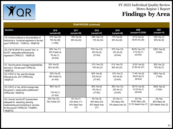

| <b>TEAM PROCESS (continued)</b>                                                                                                                                             |                                                          |                                                      |                                                       |                                                          |                                                   |                                              |  |
|-----------------------------------------------------------------------------------------------------------------------------------------------------------------------------|----------------------------------------------------------|------------------------------------------------------|-------------------------------------------------------|----------------------------------------------------------|---------------------------------------------------|----------------------------------------------|--|
| Question                                                                                                                                                                    | 2016<br>(sample=49)                                      | 2017<br>(sample=26)                                  | 2018<br>(sample=47)                                   | 2019<br>(sample=48)                                      | 2020<br>(sample=33 DDW)                           | 2021<br>(sample=10)                          |  |
| 119. Is there evidence or documentation of<br>behavioral or functional regression in the last<br>year? CPRQ120; '17IQR14c, '18IQR128                                        | 21% Yes (10)<br>79% No (38)<br>$(1$ CND)                 | 15% Yes (4)<br>85% No (22)                           | 28% Yes (13)<br>72% No (34)                           | 17% Yes (8)<br>83% No (40)                               | 9.1% Yes (3)<br>90.9% No (30)                     | 10% Yes (1)<br>90% No (9)                    |  |
| 120. If #118 OR #119 is scored "Yes", is<br>the IDT adequately addressing the<br>regression? CPRQ121; '18IQR129                                                             | 69% Yes (11)<br>25% Partial (4)<br>6% No (1)<br>(33 N/A) |                                                      | 70% Yes (14)<br>30% No (6)<br>(27 N/A)                | $\sqrt{67\% \text{ Yes}}$ (12)<br>33% No (6)<br>(30 N/A) | 90.9% Yes (10)<br>$9.1\%$ No $(1)$<br>(22 N/A)    | 100% Yes (5)<br>(5 N/A)                      |  |
| 121. Has the person changed residential/day<br>services in the last year? CPRQ122,<br>'18IQR130                                                                             | 18% Yes (9)<br>82% No (40)                               |                                                      | 21% Yes (10)<br>79% No (37)                           | 31% Yes (15)<br>69% No (33)                              | 18.2% Yes (6)<br>81.8% No (27)                    | 30% Yes (3)<br>70% No (7)                    |  |
| 122. If #121 is Yes, was the change<br>Planned by the IDT? CPRQ122a,<br>18IQR131                                                                                            | 63% Yes (5)<br>38% Partial (3)<br>(41 N/A)               |                                                      | 80% Yes (8)<br>20% No (2)<br>(37 N/A)                 | 47% Yes (7)<br>53% No (8)<br>(33 N/A)                    | 71.4% Yes (5)<br>28.6% No (2)<br>(26 N/A)         | 100% Yes (3)<br>(7 N/A)                      |  |
| 123. If #121 is Yes, did the change meet<br>the person's needs and/or preferences?<br>CPRQ122b, '18IQR132                                                                   | 88% Yes (7)<br>13% No (1)<br>(41 N/A)                    |                                                      | 90% Yes (9)<br>10% No (1)<br>(37 N/A)                 | 80% Yes (12)<br>20% No (3)<br>(33 N/A)                   | 85.7% Yes (6)<br>14.3% No (1)<br>(26 N/A)         | 100% Yes (3)<br>(7 N/A)                      |  |
| 124. Overall, has the IDT process been<br>adequate for assessing, planning,<br>implementing and monitoring of services<br>for this person? CPRQ123; '17IQR#7n,<br>'18IQR133 | 24% Yes (12)<br>76% Partial (37)                         | 4% Yes (1)<br>42% Many (11)<br>54% Need Impv<br>(14) | 6% Yes (3)<br>49% Many (23)<br>45% Needs Impv<br>(21) | 2% Yes (1)<br>79% Many (38)<br>19% Needs Impv (9)        | 0% Yes<br>78.8% Many (26)<br>21.2% Needs Impv (7) | 0% Yes<br>80% Many (8)<br>20% Needs Impv (2) |  |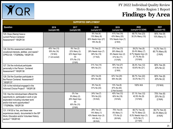

| <b>SUPPORTED EMPLOYMENT</b>                                                                                                                                                                |                                                           |                                                                              |                                                                             |                                                                              |                                                                                    |                                            |  |
|--------------------------------------------------------------------------------------------------------------------------------------------------------------------------------------------|-----------------------------------------------------------|------------------------------------------------------------------------------|-----------------------------------------------------------------------------|------------------------------------------------------------------------------|------------------------------------------------------------------------------------|--------------------------------------------|--|
| Question                                                                                                                                                                                   | 2016<br>(sample=49)                                       | 2017<br>(sample=26)                                                          | 2018<br>(sample=47)                                                         | 2019<br>(sample=48)                                                          | 2020<br>(sample=33 DDW)                                                            | 2021<br>(sample=10)                        |  |
| 125. Does (Name) have a<br>current Person-Centered<br>Assessment? '18IQR134                                                                                                                |                                                           |                                                                              | 9% Yes (4)<br>13% Many (6)<br>60% Needs Impv (27)<br>18% No (8)             | 41% Yes (19)<br>43% Many (20)<br>15% Needs Impv (7)<br>(2 N/A)               | 69.7% Yes (23)<br>30.3% Many (10)                                                  | 90% Yes (9)<br>10% Many (1)                |  |
| 126. Did this assessment address<br>vocational interests, abilities and needs?<br>CPRQ126; '17IQR#26a, '18IQR135                                                                           | 45% Yes (13)<br>55% No (16)<br>(19 N/A)<br>(1 not scored) | 9% Yes (2)<br>22% Many (3)<br>22% Need Impv<br>(5)<br>57% No (13)<br>(3 N/A) | 7% Yes (2)<br>28% Needs Impv (7)<br>68% No (19)<br>(17 N/A)                 | 37% Yes (13)<br>26% Many (9)<br>6% Needs Impv (2)<br>31% No (11)<br>(13 N/A) | 39.2% Yes (9)<br>30.4% Many (7)<br>8.7% Needs Impv (2)<br>21.7% No (5)<br>(10 N/A) | 14.3% Yes (1)<br>85.7% Many (6)<br>(3 N/A) |  |
| 127. Did the individual participate<br>personally in the Person Centered<br>Assessment? '18IQR136                                                                                          |                                                           |                                                                              | 31% Yes (14)<br>69% No (31)                                                 | 59% Yes (27)<br>41% No (19)<br>(2 N/A)                                       | 36.4% Yes (12)<br>63.6% No (21)                                                    | 80% Yes (8)<br>20% No (2)                  |  |
| 128. Did the Guardian participate in<br>the Person Centered Assessment?<br>18IQR137                                                                                                        |                                                           |                                                                              | 20% Yes (9)<br>80% No (36)                                                  | 42% Yes (20)<br>58% No (28)                                                  | 66.7% Yes (22)<br>33.3% No (11)                                                    | 80% Yes (8)<br>20% No (2)                  |  |
| 129. Is the individual engaged in the<br>Informed Choice Project? '18IQR138                                                                                                                |                                                           |                                                                              | 9% Yes (4)<br>91% No (43)                                                   | 13% Yes (6)<br>87% No (40)<br>(2 Not Scored)                                 | 100% N/A                                                                           | (10 N/A)                                   |  |
| 130. Has the individual been offered the<br>opportunity to participate in work or job<br>exploration including volunteer work<br>and/or trial work opportunities?<br>'17IQR#26e, '18IQR139 |                                                           | 0% Yes<br>9% Many (2)<br>26% Need Impv<br>(6)<br>65% No (15)<br>(3 N/A)      | 24% Yes (7)<br>76% No (22)<br>(16 N/A)                                      | 40% Yes (12)<br>60% No (18)<br>(18 N/A)                                      | 57.1% Yes (12)<br>42.9% No (9)<br>(12 N/A)                                         | 75% Yes (6)<br>25% No (2)<br>(2 N/A)       |  |
| 131. If #130 is Yes, are these new<br>experiences clearly documented in the ISP<br>Work, Education and/or Volunteer History<br>section? '18IQR140                                          |                                                           |                                                                              | 29% Yes (2)<br>14% Many (1)<br>43% Needs Impv (3)<br>14% No (1)<br>(38 N/A) | 75% Yes (9)<br>8% Many (1)<br>17% No (2)<br>(36 N/A)                         | 66.7% Yes (8)<br>16.7% Many (2)<br>8.3% Needs Impv (1)<br>8.3% No (1)<br>(21 N/A)  | 66.7% Yes (4)<br>33.3% Many (2)<br>(4 N/A) |  |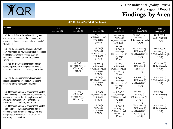

| <b>SUPPORTED EMPLOYMENT (continued)</b>                                                                                                                                                                                                  |                     |                                                                          |                                                                               |                                                                              |                                                                                     |                                                                  |  |
|------------------------------------------------------------------------------------------------------------------------------------------------------------------------------------------------------------------------------------------|---------------------|--------------------------------------------------------------------------|-------------------------------------------------------------------------------|------------------------------------------------------------------------------|-------------------------------------------------------------------------------------|------------------------------------------------------------------|--|
| Question                                                                                                                                                                                                                                 | 2016<br>(sample=49) | 2017<br>(sample=26)                                                      | 2018<br>(sample=47)                                                           | 2019<br>(sample=48)                                                          | 2020<br>(sample=33 DDW)                                                             | 2021<br>(sample=10)                                              |  |
| 132. If #131 is No, is the individual trying new<br>discovery experiences in the community to<br>determine interests, abilities, skills and needs?<br>'18IQR141                                                                          |                     |                                                                          | 0% Yes<br>14% Needs Impv (3)<br>86% No (19)<br>(23 N/A)                       | 33% Yes (6)<br>11% Many (2)<br>6% Needs Impv (1)<br>50% No (9)<br>(30 N/A)   | 62.5% Yes (5)<br>25% Many (2)<br>12.5% Needs Impv (1)<br>(25 N/A)                   | 66.7% Yes (2)<br>33.3% Many (1)<br>(7 N/A)                       |  |
| 133. Has the Guardian had the opportunity to<br>gain information on how the individual responded<br>during job exploration activities such as<br>volunteering and/or trial work experiences?<br>'18IQR142                                |                     |                                                                          | $18\%$ Yes (5)<br>4% Many (1)<br>7% Needs Impv (2)<br>71% No (20)<br>(17 N/A) | 46% Yes (13)<br>11% Many (3)<br>11% Needs Impv (3)<br>32% No (9)<br>(20 N/A) | 76.2% Yes (16)<br>14.3% Many (3)<br>9.5% Needs Impv (2)<br>(12 N/A)                 | 62.5% Yes (5)<br>25% Many (2)<br>12.5% Needs Impv (1)<br>(2 N/A) |  |
| 134. Has the individual received information<br>regarding the range of employment options<br>available to him/her? '17IQR#26c, '18IQR143                                                                                                 |                     | $\overline{4\%}$ Yes (1)<br>52% Need Impv (12)<br>43% No (10)<br>(3 N/A) | 7% Yes (2)<br>4% Many (1)<br>14% Needs Impv (4)<br>75% No (21)<br>(17 N/A)    | 38% Yes (11)<br>14% Many (4)<br>3% Needs Impv (1)<br>45% No (13)<br>(19 N/A) | 81% Yes (17)<br>14.2% Many (3)<br>4.8% No (1)<br>(12 N/A)                           | 87.5% Yes (7)<br>12.5% Many (1)<br>(2 N/A)                       |  |
| 135. Has the Guardian received information<br>regarding the range of employment options<br>available for the individual? '18IQR144                                                                                                       |                     |                                                                          | $\frac{14\%}{14\%}$ Yes (4)<br>29% Needs Impv (8)<br>57% No (16)<br>(17 N/A)  | 50% Yes (14)<br>11% Many (3)<br>14% Needs Impv (4)<br>25% No (7)<br>(20 N/A) | $81\%$ Yes (17)<br>14.3% Many (3)<br>4.7% Needs Impv (1)<br>(12 N/A)                | 87.5% Yes (7)<br>12.5% Needs Impv (1)<br>(2 N/A)                 |  |
| 136. If there are barriers to employment, has the<br>Team, including the individual, addressed how to<br>overcome those barriers to employment and<br>integrating clinical info., AT, & therapies as<br>necessary  '17IQR#27b, '18IQR145 |                     | $4\%$ Yes (1)<br>13% Many (3)<br>9% Need Impv (2)<br>79% No (17)         | 11% Yes (3)<br>18% Needs Impv (5)<br>71% No (20)<br>(17 N/A)                  | 41% Yes (12)<br>21% Many (6)<br>7% Needs Impv (2)<br>31% No (9)<br>(19 N/A)  | 60% Yes (12)<br>20% Many (4)<br>5% Needs Impv (1)<br>15% No (3)<br>(13 N/A)         | 87.5% Yes (7)<br>12.5% Many (1)<br>(2 N/A)                       |  |
| 137. If there are barriers to employment, has the<br>Team addressed with the Guardian how to<br>overcome those barriers to employment and<br>integrating clinical info., AT, & therapies as<br>necessary ? '18IQR146                     |                     |                                                                          | 11% Yes (3)<br>7% Many (2)<br>82% No (23)<br>(17 N/A)                         | 43% Yes (12)<br>7% Many (2)<br>4% Needs Impv (1)<br>46% No (13)<br>(20 N/A)  | 68.4% Yes (13)<br>15.8% Many (3)<br>5.3% Needs Impv (1)<br>10.5% No (2)<br>(14 N/A) | 87.5% Yes (7)<br>12.5% Many (1)<br>(2 N/A)                       |  |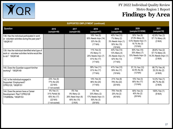

| <b>SUPPORTED EMPLOYMENT (continued)</b>                                                                               |                                                                            |                                                                      |                                                                             |                                                                              |                                                                                  |                                                                    |  |
|-----------------------------------------------------------------------------------------------------------------------|----------------------------------------------------------------------------|----------------------------------------------------------------------|-----------------------------------------------------------------------------|------------------------------------------------------------------------------|----------------------------------------------------------------------------------|--------------------------------------------------------------------|--|
| Question                                                                                                              | 2016<br>(sample=49)                                                        | 2017<br>(sample=26)                                                  | 2018<br>(sample=47)                                                         | 2019<br>(sample=48)                                                          | 2020<br>(sample=33 DDW)                                                          | 2021<br>(sample=10)                                                |  |
| 138. Has the individual participated in work<br>or volunteer activities during the past year?<br>'18IQR147            |                                                                            |                                                                      | 18% Yes (5)<br>50% Needs Impv (14)<br>32% No (9)<br>(17 N/A)                | 40% Yes (12)<br>7% Many (2)<br>3% Needs Impv (1)<br>50% No (15)<br>(18 N/A)  | 50% Yes (9)<br>27.8% Many (5)<br>5.5% Needs Impv (1)<br>16.7% No (3)<br>(15 N/A) | 42.9% Yes (3)<br>57.1% Many (4)<br>(3 N/A)                         |  |
| 139. Has the individual identified what type of<br>work or volunteer activities he/she would like<br>to do? '18IQR148 |                                                                            |                                                                      | 11% Yes (3)<br>4% Many (1)<br>25% Needs Impv (7)<br>61% No (17)<br>(17 N/A) | 43% Yes (13)<br>13% Many (4)<br>3% Needs Impv (1)<br>42% No (13)<br>(17 N/A) | 50% Yes (10)<br>35% Many (7)<br>15% Needs Impv (3)<br>(13 N/A)                   | 28.6% Yes (2)<br>57.1% Many (4)<br>14.3% Needs Impv (1)<br>(3 N/A) |  |
| 140. Does the Guardian support him/her<br>working? '18IQR149                                                          |                                                                            |                                                                      | 39% Yes (11)<br>61% No (17)<br>(17 N/A)                                     | 41% Yes (12)<br>59% No (17)<br>(19 N/A)                                      | 57.1% Yes (12)<br>42.9% No (9)<br>(12 N/A)                                       | 66.7% Yes (4)<br>33.3% No (2)<br>(4 N/A)                           |  |
| 142. Is the individual engaged in<br>Supported Employment?<br>CPRQ129, '18IQR151                                      | 23% Yes (6)<br>77% No (20)<br>(22 N/A)<br>(1 not scored)                   |                                                                      | 14% Yes (4)<br>86% No (24)<br>(17 N/A)                                      | 21% Yes (6)<br>79% No (22)<br>(20 N/A)                                       | 15% Yes (3)<br>85% No (17)<br>(13 N/A)                                           | 14.3% Yes (1)<br>85.7% No (6)<br>(3 N/A)                           |  |
| 144. Does the person have a Career<br>Development Plan? CPRQ128<br>17IQR#26e, '18IQR153                               | 4% Yes (1)<br>31% Partial (8)<br>65% No (17)<br>(22 N/A)<br>(1 not scored) | 0% Yes<br>9% Many (2)<br>26% Need Impv (6)<br>65% No (15)<br>(3 N/A) | 0% Yes<br>33% Many (2)<br>17% Needs Impv (1)<br>50% No (3)<br>(39 N/A)      | 75% Yes (6)<br>25% No (2)<br>(40 N/A)                                        | 60% Yes (3)<br>40% No (2)<br>(28 N/A)                                            | 100% Yes (1)<br>(9 N/A)                                            |  |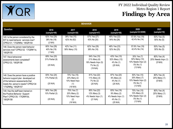

| <b>BEHAVIOR</b>                                                                                                                                                             |                                             |                                                                  |                                                                             |                                                                           |                                                                             |                                              |  |
|-----------------------------------------------------------------------------------------------------------------------------------------------------------------------------|---------------------------------------------|------------------------------------------------------------------|-----------------------------------------------------------------------------|---------------------------------------------------------------------------|-----------------------------------------------------------------------------|----------------------------------------------|--|
| Question                                                                                                                                                                    | 2016<br>(sample=49)                         | 2017<br>(sample=26)                                              | 2018<br>(sample=47)                                                         | 2019<br>(sample=48)                                                       | 2020<br>(sample=33 DDW)                                                     | 2021<br>(sample=10)                          |  |
| 145. Is the person considered by the<br>IDT to need behavior services now?<br>CPRQ131; '17IQR#5d, '18IQR154                                                                 | 62% Yes (29)<br>38% No (18)<br>(2 N/A)      | 38% Yes (10)<br>62% No (62)                                      | 57% Yes (27)<br>43% No (20)                                                 | 46% Yes (22)<br>54% No (26)                                               | 57.6% Yes (19)<br>42.4% No (14)                                             | 50% Yes (5)<br>50% No (5)                    |  |
| 146. Does the person need behavior<br>services now? CPRQ132 '17IQR#11e,<br>'18IQR155                                                                                        | 60% Yes (29)<br>40% No (19)<br>(1 N/A)      | 42% Yes (11)<br>58% Many (15)                                    | 62% Yes (29)<br>38% No (18)                                                 | 48% Yes (23)<br>52% No (25)                                               | 57.6% Yes (19)<br>42.4% No (14)                                             | 50% Yes (5)<br>50% No (5)                    |  |
| 147. Have behavioral<br>assessments been completed?<br>CPRQ133, '18IQR156                                                                                                   | 69% Yes (20)<br>31% Partial (9)<br>(20 N/A) |                                                                  | 54% Yes (15)<br>21% Many (6)<br>18% Needs Impv (5)<br>7% No (2)<br>(19 N/A) | 43% Yes (10)<br>52% Many (12)<br>4% No (1)<br>$(25 \text{ N/A})$          | 35% Yes (7)<br>50% Many (10)<br>10% Needs Impv (2)<br>5% No (1)<br>(13 N/A) | 80% Yes (4)<br>20% Needs Impv (1)<br>(5 N/A) |  |
| 148. Does the person have a positive<br>behavior support plan developed out<br>of the behavior assessments that<br>meets the person's needs? CPRQ134<br>17IQR#5g, '18IQR157 | 83% Yes (24)<br>17% Partial (5)<br>(20 N/A) | 70% Yes (16)<br>20% Many (2)<br>10% Need Impv<br>(1)<br>(16 N/A) | 81% Yes (22)<br>11% Many (3)<br>7% No (2)<br>(20 N/A)                       | 87% Yes (20)<br>9% Many (2)<br>4% No (1)<br>(25 N/A)                      | 50% Yes (10)<br>35% Many (7)<br>10% Needs Impv (2)<br>5% No (1)<br>(13 N/A) | 80% Yes (4)<br>20% Many (1)<br>(5 N/A)       |  |
| 149. Has the staff been trained on<br>the Positive Behavior Support<br>Plan? CPRQ135; '17IQR#10d,<br>'18IQR158                                                              | 90% Yes (26)<br>10% Partial (3)<br>(20 N/A) | 70% Yes (7)<br>20% Many (2)<br>10% Need Impv<br>(2)<br>(16 N/A)  | 85% Yes (22)<br>12% Many (3)<br>4% Needs Impv (1)<br>(21 N/A)               | 83% Yes (19)<br>9% Many (2)<br>4% Needs Impv (1)<br>4% No (1)<br>(25 N/A) | 75% Yes (15)<br>10% Many (2)<br>10% Needs Impv (2)<br>5% No (1)<br>(13 N/A) | 80% Yes (4)<br>20% Many (1)<br>(5 N/A)       |  |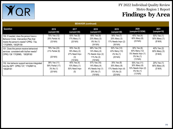

| <b>BEHAVIOR</b> (continued)                                                                                                                     |                                                           |                                                                 |                                                                             |                                                                             |                                                                             |                                        |  |
|-------------------------------------------------------------------------------------------------------------------------------------------------|-----------------------------------------------------------|-----------------------------------------------------------------|-----------------------------------------------------------------------------|-----------------------------------------------------------------------------|-----------------------------------------------------------------------------|----------------------------------------|--|
| Question                                                                                                                                        | 2016<br>(sample=49)                                       | 2017<br>(sample=26)                                             | 2018<br>(sample=47)                                                         | 2019<br>(sample=48)                                                         | 2020<br>(sample=33 DDW)                                                     | 2021<br>(sample=10)                    |  |
| 150. If needed, does the person have a<br>Behavior Crisis Intervention Plan that<br>meets the person's needs? CPRQ 73a;<br>ʻ17IQR#5h, '18IQR159 | 75% Yes (12)<br>25% Partial (4)<br>$(33 \text{ N/A})$     | 83% Yes (5)<br>17% Many (1)<br>(20 N/A)                         | 69% Yes (9)<br>23% Many (3)<br>8% No (1)<br>(34 N/A)                        | 58% Yes (7)<br>25% Many (3)<br>17% Needs Impv (2)<br>(36 N/A)               | 40% Yes (4)<br>60% Many (6)<br>$(23 \text{ N/A})$                           | 50% Yes (1)<br>50% Many (1)<br>(8 N/A) |  |
| 151. Does the person receive behavioral<br>services consistent with his/her needs?<br>CPRQ 136 '17IQR#5i, '18IQR160                             | 79% Yes (23)<br>21% Partial (6)<br>(20 N/A)               | 55% Yes (6)<br>18% Many (2)<br>27% Need Impy<br>(3)<br>(15 N/A) | 68% Yes (19)<br>14% Many (4)<br>7% Needs Impv (2)<br>11% No (3)<br>(19 N/A) | 52% Yes (12)<br>43% Many (10)<br>4% No (1)<br>(25 N/A)                      | 30% Yes (6)<br>60% Many (12)<br>5% Needs Impv (1)<br>5% No (1)<br>(13 N/A)  | 40% Yes (2)<br>60% Many (3)<br>(5 N/A) |  |
| 152. Are behavior support services integrated<br>into the ISP? CPRQ 137; '17IQR#11d,<br>'18IQR161                                               | 38% Yes (11)<br>59% Partial (17)<br>3% No (1)<br>(20 N/A) | 40% Yes (4)<br>10% Many (1)<br>50% Need Impy<br>(5)             | 57% Yes (16)<br>14% Many (4)<br>4% Needs Imp (1)<br>25% No (7)<br>(19 N/A)  | 35% Yes (8)<br>35% Many (8)<br>17% Needs Impv (4)<br>13% No (3)<br>(25 N/A) | 55% Yes (11)<br>30% Many (6)<br>10% Needs Impv (2)<br>5% No (1)<br>(13 N/A) | 20% Yes (1)<br>80% Many (4)<br>(5 N/A) |  |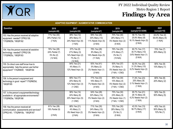

| <b>ADAPTIVE EQUIPMENT / AUGMENTATIVE COMMUNICATION</b>                                                                 |                                                          |                                                                           |                                                                |                                                                     |                                                                     |                                            |  |
|------------------------------------------------------------------------------------------------------------------------|----------------------------------------------------------|---------------------------------------------------------------------------|----------------------------------------------------------------|---------------------------------------------------------------------|---------------------------------------------------------------------|--------------------------------------------|--|
| Question                                                                                                               | 2016<br>(sample=49)                                      | 2017<br>(sample=26)                                                       | 2018<br>(sample=47)                                            | 2019<br>(sample=48)                                                 | 2020<br>(sample=33 DDW)                                             | 2021<br>(sample=10)                        |  |
| 153. Has the person received all adaptive<br>equipment needed? CPRQ138;<br>'17IQR#25b, '18IQR162                       | 71% Yes (30)<br>29% Partial (12)<br>(7 N/A)              | 48% Yes (12)<br>28% Many (7)<br>24% Need Impv (6)<br>(1 N/A)              | 59% Yes (26)<br>30% Many (13)<br>11% Needs Impv (5)<br>(3 N/A) | 70% Yes (30)<br>26% Many (11)<br>5% Needs Impv (2)<br>(5 N/A)       | 58.1% Yes (18)<br>25.8% Many (8)<br>16.1% Needs Impv (5)<br>(2 N/A) | 44.4% Yes (4)<br>55.6% Many (5)<br>(1 N/A) |  |
| 154. Has the person received all assistive<br>technology needed? CPRQ139;<br>'17IQR#25c, '18IQR163                     | 76% Yes (28)<br>24% Partial (7)<br>5% No (2)<br>(12 N/A) | 57% Yes (8)<br>21% Many (3)<br>14% Need Impv (2)<br>7% No (1)<br>(12 N/A) | 78% Yes (28)<br>8% Many (3)<br>14% Needs Impv (5)<br>(11 N/A)  | 76% Yes (25)<br>21% Many (7)<br>3% No (1)<br>(15 N/A)               | 60.7% Yes (17)<br>35.7% Many (10)<br>3.6% Needs Impv (1)<br>(5 N/A) | 70% Yes (7)<br>30% Many (3)                |  |
| 155. Do direct care staff know how to<br>appropriately help the person use his/her<br>equipment? '17IQR#25f, '18IQR164 |                                                          | 84% Yes (21)<br>4% Many (1)<br>12% Need Impv (3)                          | 93% Yes (41)<br>5% Many (2)<br>2% Needs Impv (1)<br>(3 N/A)    | 93% Yes (37)<br>3% Many (1)<br>5% Needs Impv (2)<br>(7 N/A, 1 CND)  | 62.5% Yes (20)<br>31.3% Many (10)<br>6.2% Needs Impv (2)<br>(1 N/A) | 90% Yes (9)<br>10% Many (1)                |  |
| 156. Is the person's equipment and<br>technology in good repair?'17IQR#25d,<br>'18IQR165                               |                                                          | 68% Yes (17)<br>20% Many (5)<br>12% Need Impv (3)<br>$(1$ CND)            | 77% Yes (33)<br>16% Many (7)<br>7% Needs Impv (3)<br>(4 N/A)   | 85% Yes (34)<br>10% Many (4)<br>5% Needs Impv (2)<br>(7 N/A, 1 CND) | 71.9% Yes (23)<br>25% Many (8)<br>3.1% Needs Impv (1)<br>(1 N/A)    | 80% Yes (8)<br>20% Many (2)                |  |
| 157. Is the person's equipment/technology<br>available in all appropriate environments?<br>'17IQR#25e, '18IQR166       |                                                          | 56% Yes (14)<br>24% Many (6)<br>20% Need Impv (5)<br>$(1$ CND)            | 54% Yes (28)<br>32% Many (14)<br>5% Needs Impv (2)<br>(3 N/A)  | 75% Yes (30)<br>23% Many (9)<br>3% Needs Impv (1)<br>(7 N/A, 1 CND) | 65.7% Yes (21)<br>28.1% Many (9)<br>6.2% Needs Impv (2)<br>(1 N/A)  | 50% Yes (5)<br>50% Many (5)                |  |
| 158. Has the person received all<br>communication assessments and services?<br>CPRQ140; '17IQR#10b, '18IQR167          | 81% Yes (38)<br>19% Partial (9)<br>(2 N/A)               | 88% Yes (21)<br>4% Many (1)<br>8% Need Impv (2)<br>(2 N/A)                | 71% Yes (30)<br>24% Many (10)<br>5% Needs Impv (2)<br>(5 N/A)  | 70% Yes (30)<br>28% Many (12)<br>2% No (1)<br>(5 N/A)               | 43.3% Yes (13)<br>56.7% Many (17)<br>(3 N/A)                        | 40% Yes (4)<br>50% Many (5)<br>10% No (1)  |  |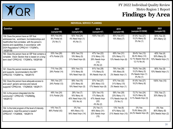

| <b>INDIVIDUAL SERVICE PLANNING</b>                                                                                                                                                                                                               |                                             |                                                                 |                                                                      |                                                                  |                                                                           |                                                   |  |
|--------------------------------------------------------------------------------------------------------------------------------------------------------------------------------------------------------------------------------------------------|---------------------------------------------|-----------------------------------------------------------------|----------------------------------------------------------------------|------------------------------------------------------------------|---------------------------------------------------------------------------|---------------------------------------------------|--|
| Question                                                                                                                                                                                                                                         | 2016<br>(sample=49)                         | 2017<br>(sample=26)                                             | 2018<br>(sample=47)                                                  | 2019<br>(sample=48)                                              | 2020<br>(sample=33 DDW)                                                   | 2021<br>(sample=10)                               |  |
| 159. Does the person have an ISP that<br>addresses live, work/learn, fun/relationships and<br>health/other that correlates with the person's<br>desires and capabilities, in accordance with<br>DOH Regulations? CPRQ141 '17IQR#7o,<br>'18IQR168 | 90% Yes (44)<br>8% Partial (4)<br>2% No (1) | 92% Yes (24)<br>4% Need Impv (1)<br>4% No (1)                   | 100% Yes (47)                                                        | 85% Yes (41)<br>15% Many (7)                                     | 81.8% Yes (27)<br>15.2% Many (5)<br>3% No (1)                             | 80% Yes (8)<br>20% Many (2)                       |  |
| 160. Does the person have an ISP that contains a<br>complete Vision Section that is based on a long-<br>term view? CPRQ142 '17IQR#7a, '18IQR169                                                                                                  | 53% Yes (26)<br>47% Partial (23)            | 50% Yes (13)<br>19% Many (5)<br>31% Need Impv (8)               | 47% Yes (22)<br>21% Many (10)<br>28% Needs Impv<br>(13)<br>4% No (2) | 65% Yes (31)<br>23% Many (11)<br>13% Needs Impv (6)              | 39.4% Yes (13)<br>36.4% Many (12)<br>12.1% Needs Impv (4)<br>12.1% No (4) | 40% Yes (4)<br>50% Many (5)<br>10% Needs Impv (1) |  |
| 161. Does the person receive services<br>and supports recommended in the ISP?<br>CPRQ143; '17IQR#11a, '18IQR170                                                                                                                                  | 71% Yes (35)<br>29% Partial (14)            | 50% Yes (13)<br>31% Many (8)<br>19% Need Impv (5)               | 81% Yes (38)<br>11% Many (5)<br>9% Needs Impv (4)                    | 79% Yes (38)<br>19% Many (9)<br>2% Needs Impv (1)                | 78.8% Yes (26)<br>15.2% Many (5)<br>3% Needs Impv (1)<br>3% No (1)        | 90% Yes (9)<br>10% Needs Impv (1)                 |  |
| 162. Does the person have adequate access to<br>and use of generic services and natural<br>supports? CPRQ144; '17IQR#33f, '18IQR171                                                                                                              | 76% Yes (37)<br>24% Partial (12)            | 58% Yes (15)<br>23% Many (6)<br>19% Need Impv (5)               | 57% Yes (27)<br>26% Many (12)<br>17% Needs Impv (8)                  | 67% Yes (32)<br>31% Many (15)<br>2% Needs Impv (1)               | 81.8% Yes (27)<br>18.2% Many (6)                                          | 100% Yes (10)                                     |  |
| 163. Is the person integrated into the<br>community? CPRQ145; '17IQR#29g,<br>'18IQR172                                                                                                                                                           | 49% Yes (24)<br>51% Partial (25)            | 28% Yes (7)<br>16% Many (4)<br>40% Need Impv (10)<br>16% No (4) | 32% Yes (15)<br>17% Many (8)<br>47% Needs Impv<br>(22)<br>4% No (2)  | 58% Yes (28)<br>23% Many (11)<br>17% Needs Impv (8)<br>2% No (1) | 72.7% Yes (24)<br>18.2% Many (6)<br>9.1% Needs Impv (3)                   | 70% Yes (7)<br>30% Many (3)                       |  |
| 164. Is the total program of the level of intensity<br>adequate to meet this person's needs?<br>CPRQ147; '17IQR#36, '18IQR174                                                                                                                    | 14% Yes (7)<br>86% Partial (42)             | 0% Yes<br>46% Many (12)<br>54% Need Impv (14)                   | 2% Yes (1)<br>66% Many (31)<br>32% Needs Impv<br>(15)                | 13% Yes (6)<br>67% Many (32)<br>21% Needs Impv (10)              | 0% Yes<br>75.8% Many (25)<br>24.2% Needs Impv (8)                         | 0% Yes<br>80% Many (8)<br>20% Needs Impv (2)      |  |